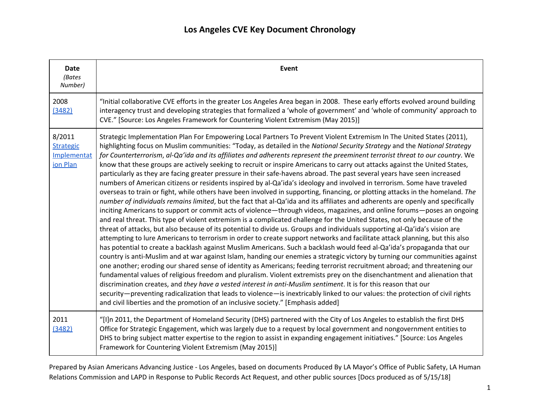| <b>Date</b><br>(Bates<br>Number)                      | Event                                                                                                                                                                                                                                                                                                                                                                                                                                                                                                                                                                                                                                                                                                                                                                                                                                                                                                                                                                                                                                                                                                                                                                                                                                                                                                                                                                                                                                                                                                                                                                                                                                                                                                                                                                                                                                                                                                                                                                                                                                                                                                                                                                                                                                                                                                                                                                                                                             |
|-------------------------------------------------------|-----------------------------------------------------------------------------------------------------------------------------------------------------------------------------------------------------------------------------------------------------------------------------------------------------------------------------------------------------------------------------------------------------------------------------------------------------------------------------------------------------------------------------------------------------------------------------------------------------------------------------------------------------------------------------------------------------------------------------------------------------------------------------------------------------------------------------------------------------------------------------------------------------------------------------------------------------------------------------------------------------------------------------------------------------------------------------------------------------------------------------------------------------------------------------------------------------------------------------------------------------------------------------------------------------------------------------------------------------------------------------------------------------------------------------------------------------------------------------------------------------------------------------------------------------------------------------------------------------------------------------------------------------------------------------------------------------------------------------------------------------------------------------------------------------------------------------------------------------------------------------------------------------------------------------------------------------------------------------------------------------------------------------------------------------------------------------------------------------------------------------------------------------------------------------------------------------------------------------------------------------------------------------------------------------------------------------------------------------------------------------------------------------------------------------------|
| 2008<br>(3482)                                        | "Initial collaborative CVE efforts in the greater Los Angeles Area began in 2008. These early efforts evolved around building<br>interagency trust and developing strategies that formalized a 'whole of government' and 'whole of community' approach to<br>CVE." [Source: Los Angeles Framework for Countering Violent Extremism (May 2015)]                                                                                                                                                                                                                                                                                                                                                                                                                                                                                                                                                                                                                                                                                                                                                                                                                                                                                                                                                                                                                                                                                                                                                                                                                                                                                                                                                                                                                                                                                                                                                                                                                                                                                                                                                                                                                                                                                                                                                                                                                                                                                    |
| 8/2011<br><b>Strategic</b><br>Implementat<br>ion Plan | Strategic Implementation Plan For Empowering Local Partners To Prevent Violent Extremism In The United States (2011),<br>highlighting focus on Muslim communities: "Today, as detailed in the National Security Strategy and the National Strategy<br>for Counterterrorism, al-Qa'ida and its affiliates and adherents represent the preeminent terrorist threat to our country. We<br>know that these groups are actively seeking to recruit or inspire Americans to carry out attacks against the United States,<br>particularly as they are facing greater pressure in their safe-havens abroad. The past several years have seen increased<br>numbers of American citizens or residents inspired by al-Qa'ida's ideology and involved in terrorism. Some have traveled<br>overseas to train or fight, while others have been involved in supporting, financing, or plotting attacks in the homeland. The<br>number of individuals remains limited, but the fact that al-Qa'ida and its affiliates and adherents are openly and specifically<br>inciting Americans to support or commit acts of violence—through videos, magazines, and online forums—poses an ongoing<br>and real threat. This type of violent extremism is a complicated challenge for the United States, not only because of the<br>threat of attacks, but also because of its potential to divide us. Groups and individuals supporting al-Qa'ida's vision are<br>attempting to lure Americans to terrorism in order to create support networks and facilitate attack planning, but this also<br>has potential to create a backlash against Muslim Americans. Such a backlash would feed al-Qa'ida's propaganda that our<br>country is anti-Muslim and at war against Islam, handing our enemies a strategic victory by turning our communities against<br>one another; eroding our shared sense of identity as Americans; feeding terrorist recruitment abroad; and threatening our<br>fundamental values of religious freedom and pluralism. Violent extremists prey on the disenchantment and alienation that<br>discrimination creates, and they have a vested interest in anti-Muslim sentiment. It is for this reason that our<br>security-preventing radicalization that leads to violence-is inextricably linked to our values: the protection of civil rights<br>and civil liberties and the promotion of an inclusive society." [Emphasis added] |
| 2011<br>(3482)                                        | "[I]n 2011, the Department of Homeland Security (DHS) partnered with the City of Los Angeles to establish the first DHS<br>Office for Strategic Engagement, which was largely due to a request by local government and nongovernment entities to<br>DHS to bring subject matter expertise to the region to assist in expanding engagement initiatives." [Source: Los Angeles<br>Framework for Countering Violent Extremism (May 2015)]                                                                                                                                                                                                                                                                                                                                                                                                                                                                                                                                                                                                                                                                                                                                                                                                                                                                                                                                                                                                                                                                                                                                                                                                                                                                                                                                                                                                                                                                                                                                                                                                                                                                                                                                                                                                                                                                                                                                                                                            |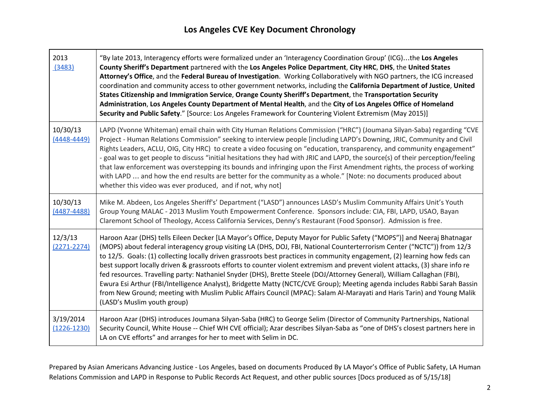T

┍

| 2013<br>(3483)               | "By late 2013, Interagency efforts were formalized under an 'Interagency Coordination Group' (ICG)the Los Angeles<br>County Sheriff's Department partnered with the Los Angeles Police Department, City HRC, DHS, the United States<br>Attorney's Office, and the Federal Bureau of Investigation. Working Collaboratively with NGO partners, the ICG increased<br>coordination and community access to other government networks, including the California Department of Justice, United<br>States Citizenship and Immigration Service, Orange County Sheriff's Department, the Transportation Security<br>Administration, Los Angeles County Department of Mental Health, and the City of Los Angeles Office of Homeland<br>Security and Public Safety." [Source: Los Angeles Framework for Countering Violent Extremism (May 2015)]                                                                                            |
|------------------------------|-----------------------------------------------------------------------------------------------------------------------------------------------------------------------------------------------------------------------------------------------------------------------------------------------------------------------------------------------------------------------------------------------------------------------------------------------------------------------------------------------------------------------------------------------------------------------------------------------------------------------------------------------------------------------------------------------------------------------------------------------------------------------------------------------------------------------------------------------------------------------------------------------------------------------------------|
| 10/30/13<br>$(4448 - 4449)$  | LAPD (Yvonne Whiteman) email chain with City Human Relations Commission ("HRC") (Joumana Silyan-Saba) regarding "CVE<br>Project - Human Relations Commission" seeking to interview people [including LAPD's Downing, JRIC, Community and Civil<br>Rights Leaders, ACLU, OIG, City HRC) to create a video focusing on "education, transparency, and community engagement"<br>- goal was to get people to discuss "initial hesitations they had with JRIC and LAPD, the source(s) of their perception/feeling<br>that law enforcement was overstepping its bounds and infringing upon the First Amendment rights, the process of working<br>with LAPD  and how the end results are better for the community as a whole." [Note: no documents produced about<br>whether this video was ever produced, and if not, why not]                                                                                                           |
| 10/30/13<br>$(4487 - 4488)$  | Mike M. Abdeen, Los Angeles Sheriff's' Department ("LASD") announces LASD's Muslim Community Affairs Unit's Youth<br>Group Young MALAC - 2013 Muslim Youth Empowerment Conference. Sponsors include: CIA, FBI, LAPD, USAO, Bayan<br>Claremont School of Theology, Access California Services, Denny's Restaurant (Food Sponsor). Admission is free.                                                                                                                                                                                                                                                                                                                                                                                                                                                                                                                                                                               |
| 12/3/13<br>$(2271 - 2274)$   | Haroon Azar (DHS) tells Eileen Decker [LA Mayor's Office, Deputy Mayor for Public Safety ("MOPS")] and Neeraj Bhatnagar<br>(MOPS) about federal interagency group visiting LA (DHS, DOJ, FBI, National Counterterrorism Center ("NCTC")) from 12/3<br>to 12/5. Goals: (1) collecting locally driven grassroots best practices in community engagement, (2) learning how feds can<br>best support locally driven & grassroots efforts to counter violent extremism and prevent violent attacks, (3) share info re<br>fed resources. Travelling party: Nathaniel Snyder (DHS), Brette Steele (DOJ/Attorney General), William Callaghan (FBI),<br>Ewura Esi Arthur (FBI/Intelligence Analyst), Bridgette Matty (NCTC/CVE Group); Meeting agenda includes Rabbi Sarah Bassin<br>from New Ground; meeting with Muslim Public Affairs Council (MPAC): Salam Al-Marayati and Haris Tarin) and Young Malik<br>(LASD's Muslim youth group) |
| 3/19/2014<br>$(1226 - 1230)$ | Haroon Azar (DHS) introduces Joumana Silyan-Saba (HRC) to George Selim (Director of Community Partnerships, National<br>Security Council, White House -- Chief WH CVE official); Azar describes Silyan-Saba as "one of DHS's closest partners here in<br>LA on CVE efforts" and arranges for her to meet with Selim in DC.                                                                                                                                                                                                                                                                                                                                                                                                                                                                                                                                                                                                        |

Prepared by Asian Americans Advancing Justice - Los Angeles, based on documents Produced By LA Mayor's Office of Public Safety, LA Human Relations Commission and LAPD in Response to Public Records Act Request, and other public sources [Docs produced as of 5/15/18]

┑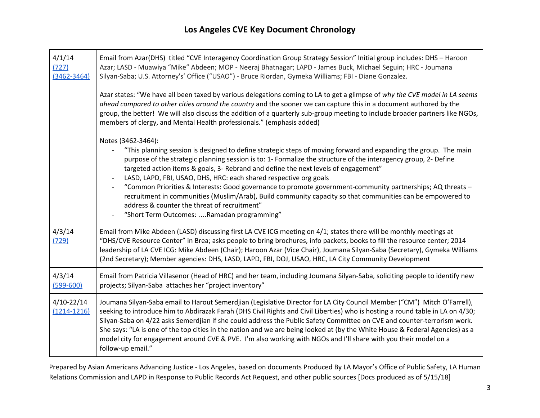┬

| 4/1/14<br>(727)<br>$(3462 - 3464)$ | Email from Azar(DHS) titled "CVE Interagency Coordination Group Strategy Session" Initial group includes: DHS - Haroon<br>Azar; LASD - Muawiya "Mike" Abdeen; MOP - Neeraj Bhatnagar; LAPD - James Buck, Michael Seguin; HRC - Joumana<br>Silyan-Saba; U.S. Attorney's' Office ("USAO") - Bruce Riordan, Gymeka Williams; FBI - Diane Gonzalez.                                                                                                                                                                                                                                                                                                                                                                                                 |
|------------------------------------|-------------------------------------------------------------------------------------------------------------------------------------------------------------------------------------------------------------------------------------------------------------------------------------------------------------------------------------------------------------------------------------------------------------------------------------------------------------------------------------------------------------------------------------------------------------------------------------------------------------------------------------------------------------------------------------------------------------------------------------------------|
|                                    | Azar states: "We have all been taxed by various delegations coming to LA to get a glimpse of why the CVE model in LA seems<br>ahead compared to other cities around the country and the sooner we can capture this in a document authored by the<br>group, the better! We will also discuss the addition of a quarterly sub-group meeting to include broader partners like NGOs,<br>members of clergy, and Mental Health professionals." (emphasis added)                                                                                                                                                                                                                                                                                       |
|                                    | Notes (3462-3464):<br>"This planning session is designed to define strategic steps of moving forward and expanding the group. The main<br>purpose of the strategic planning session is to: 1- Formalize the structure of the interagency group, 2- Define<br>targeted action items & goals, 3- Rebrand and define the next levels of engagement"<br>LASD, LAPD, FBI, USAO, DHS, HRC: each shared respective org goals<br>"Common Priorities & Interests: Good governance to promote government-community partnerships; AQ threats -<br>recruitment in communities (Muslim/Arab), Build community capacity so that communities can be empowered to<br>address & counter the threat of recruitment"<br>"Short Term Outcomes: Ramadan programming" |
| 4/3/14<br>(729)                    | Email from Mike Abdeen (LASD) discussing first LA CVE ICG meeting on 4/1; states there will be monthly meetings at<br>"DHS/CVE Resource Center" in Brea; asks people to bring brochures, info packets, books to fill the resource center; 2014<br>leadership of LA CVE ICG: Mike Abdeen (Chair); Haroon Azar (Vice Chair), Joumana Silyan-Saba (Secretary), Gymeka Williams<br>(2nd Secretary); Member agencies: DHS, LASD, LAPD, FBI, DOJ, USAO, HRC, LA City Community Development                                                                                                                                                                                                                                                            |
| 4/3/14<br>$(599 - 600)$            | Email from Patricia Villasenor (Head of HRC) and her team, including Joumana Silyan-Saba, soliciting people to identify new<br>projects; Silyan-Saba attaches her "project inventory"                                                                                                                                                                                                                                                                                                                                                                                                                                                                                                                                                           |
| $4/10 - 22/14$<br>$(1214 - 1216)$  | Joumana Silyan-Saba email to Harout Semerdjian (Legislative Director for LA City Council Member ("CM") Mitch O'Farrell),<br>seeking to introduce him to Abdirazak Farah (DHS Civil Rights and Civil Liberties) who is hosting a round table in LA on 4/30;<br>Silyan-Saba on 4/22 asks Semerdjian if she could address the Public Safety Committee on CVE and counter-terrorism work.<br>She says: "LA is one of the top cities in the nation and we are being looked at (by the White House & Federal Agencies) as a<br>model city for engagement around CVE & PVE. I'm also working with NGOs and I'll share with you their model on a<br>follow-up email."                                                                                   |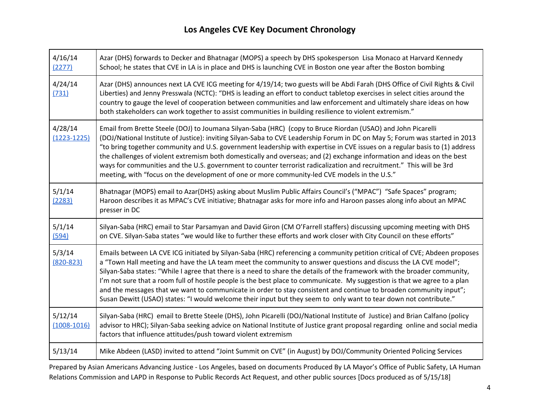| 4/16/14<br>(2277)          | Azar (DHS) forwards to Decker and Bhatnagar (MOPS) a speech by DHS spokesperson Lisa Monaco at Harvard Kennedy<br>School; he states that CVE in LA is in place and DHS is launching CVE in Boston one year after the Boston bombing                                                                                                                                                                                                                                                                                                                                                                                                                                                                                                                 |
|----------------------------|-----------------------------------------------------------------------------------------------------------------------------------------------------------------------------------------------------------------------------------------------------------------------------------------------------------------------------------------------------------------------------------------------------------------------------------------------------------------------------------------------------------------------------------------------------------------------------------------------------------------------------------------------------------------------------------------------------------------------------------------------------|
| 4/24/14<br>(731)           | Azar (DHS) announces next LA CVE ICG meeting for 4/19/14; two guests will be Abdi Farah (DHS Office of Civil Rights & Civil<br>Liberties) and Jenny Presswala (NCTC): "DHS is leading an effort to conduct tabletop exercises in select cities around the<br>country to gauge the level of cooperation between communities and law enforcement and ultimately share ideas on how<br>both stakeholders can work together to assist communities in building resilience to violent extremism."                                                                                                                                                                                                                                                         |
| 4/28/14<br>$(1223 - 1225)$ | Email from Brette Steele (DOJ) to Joumana Silyan-Saba (HRC) (copy to Bruce Riordan (USAO) and John Picarelli<br>(DOJ/National Institute of Justice): inviting Silyan-Saba to CVE Leadership Forum in DC on May 5; Forum was started in 2013<br>"to bring together community and U.S. government leadership with expertise in CVE issues on a regular basis to (1) address<br>the challenges of violent extremism both domestically and overseas; and (2) exchange information and ideas on the best<br>ways for communities and the U.S. government to counter terrorist radicalization and recruitment." This will be 3rd<br>meeting, with "focus on the development of one or more community-led CVE models in the U.S."                          |
| 5/1/14<br>(2283)           | Bhatnagar (MOPS) email to Azar(DHS) asking about Muslim Public Affairs Council's ("MPAC") "Safe Spaces" program;<br>Haroon describes it as MPAC's CVE initiative; Bhatnagar asks for more info and Haroon passes along info about an MPAC<br>presser in DC                                                                                                                                                                                                                                                                                                                                                                                                                                                                                          |
| 5/1/14<br>(594)            | Silyan-Saba (HRC) email to Star Parsamyan and David Giron (CM O'Farrell staffers) discussing upcoming meeting with DHS<br>on CVE. Silyan-Saba states "we would like to further these efforts and work closer with City Council on these efforts"                                                                                                                                                                                                                                                                                                                                                                                                                                                                                                    |
| 5/3/14<br>$(820 - 823)$    | Emails between LA CVE ICG initiated by Silyan-Saba (HRC) referencing a community petition critical of CVE; Abdeen proposes<br>a "Town Hall meeting and have the LA team meet the community to answer questions and discuss the LA CVE model";<br>Silyan-Saba states: "While I agree that there is a need to share the details of the framework with the broader community,<br>I'm not sure that a room full of hostile people is the best place to communicate. My suggestion is that we agree to a plan<br>and the messages that we want to communicate in order to stay consistent and continue to broaden community input";<br>Susan Dewitt (USAO) states: "I would welcome their input but they seem to only want to tear down not contribute." |
| 5/12/14<br>$(1008 - 1016)$ | Silyan-Saba (HRC) email to Brette Steele (DHS), John Picarelli (DOJ/National Institute of Justice) and Brian Calfano (policy<br>advisor to HRC); Silyan-Saba seeking advice on National Institute of Justice grant proposal regarding online and social media<br>factors that influence attitudes/push toward violent extremism                                                                                                                                                                                                                                                                                                                                                                                                                     |
| 5/13/14                    | Mike Abdeen (LASD) invited to attend "Joint Summit on CVE" (in August) by DOJ/Community Oriented Policing Services                                                                                                                                                                                                                                                                                                                                                                                                                                                                                                                                                                                                                                  |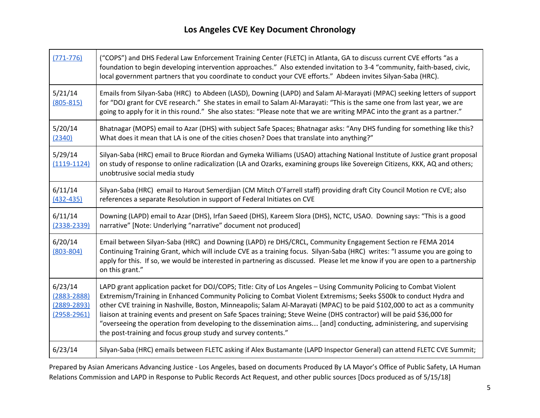Г

| $(771 - 776)$                                                    | ("COPS") and DHS Federal Law Enforcement Training Center (FLETC) in Atlanta, GA to discuss current CVE efforts "as a<br>foundation to begin developing intervention approaches." Also extended invitation to 3-4 "community, faith-based, civic,<br>local government partners that you coordinate to conduct your CVE efforts." Abdeen invites Silyan-Saba (HRC).                                                                                                                                                                                                                                                                                                                        |
|------------------------------------------------------------------|------------------------------------------------------------------------------------------------------------------------------------------------------------------------------------------------------------------------------------------------------------------------------------------------------------------------------------------------------------------------------------------------------------------------------------------------------------------------------------------------------------------------------------------------------------------------------------------------------------------------------------------------------------------------------------------|
| 5/21/14<br>$(805 - 815)$                                         | Emails from Silyan-Saba (HRC) to Abdeen (LASD), Downing (LAPD) and Salam Al-Marayati (MPAC) seeking letters of support<br>for "DOJ grant for CVE research." She states in email to Salam Al-Marayati: "This is the same one from last year, we are<br>going to apply for it in this round." She also states: "Please note that we are writing MPAC into the grant as a partner."                                                                                                                                                                                                                                                                                                         |
| 5/20/14<br>(2340)                                                | Bhatnagar (MOPS) email to Azar (DHS) with subject Safe Spaces; Bhatnagar asks: "Any DHS funding for something like this?<br>What does it mean that LA is one of the cities chosen? Does that translate into anything?"                                                                                                                                                                                                                                                                                                                                                                                                                                                                   |
| 5/29/14<br>$(1119-1124)$                                         | Silyan-Saba (HRC) email to Bruce Riordan and Gymeka Williams (USAO) attaching National Institute of Justice grant proposal<br>on study of response to online radicalization (LA and Ozarks, examining groups like Sovereign Citizens, KKK, AQ and others;<br>unobtrusive social media study                                                                                                                                                                                                                                                                                                                                                                                              |
| 6/11/14<br>$(432 - 435)$                                         | Silyan-Saba (HRC) email to Harout Semerdjian (CM Mitch O'Farrell staff) providing draft City Council Motion re CVE; also<br>references a separate Resolution in support of Federal Initiates on CVE                                                                                                                                                                                                                                                                                                                                                                                                                                                                                      |
| 6/11/14<br>$(2338 - 2339)$                                       | Downing (LAPD) email to Azar (DHS), Irfan Saeed (DHS), Kareem Slora (DHS), NCTC, USAO. Downing says: "This is a good<br>narrative" [Note: Underlying "narrative" document not produced]                                                                                                                                                                                                                                                                                                                                                                                                                                                                                                  |
| 6/20/14<br>$(803 - 804)$                                         | Email between Silyan-Saba (HRC) and Downing (LAPD) re DHS/CRCL, Community Engagement Section re FEMA 2014<br>Continuing Training Grant, which will include CVE as a training focus. Silyan-Saba (HRC) writes: "I assume you are going to<br>apply for this. If so, we would be interested in partnering as discussed. Please let me know if you are open to a partnership<br>on this grant."                                                                                                                                                                                                                                                                                             |
| 6/23/14<br>$(2883 - 2888)$<br>$(2889 - 2893)$<br>$(2958 - 2961)$ | LAPD grant application packet for DOJ/COPS; Title: City of Los Angeles - Using Community Policing to Combat Violent<br>Extremism/Training in Enhanced Community Policing to Combat Violent Extremisms; Seeks \$500k to conduct Hydra and<br>other CVE training in Nashville, Boston, Minneapolis; Salam Al-Marayati (MPAC) to be paid \$102,000 to act as a community<br>liaison at training events and present on Safe Spaces training; Steve Weine (DHS contractor) will be paid \$36,000 for<br>"overseeing the operation from developing to the dissemination aims [and] conducting, administering, and supervising<br>the post-training and focus group study and survey contents." |
| 6/23/14                                                          | Silyan-Saba (HRC) emails between FLETC asking if Alex Bustamante (LAPD Inspector General) can attend FLETC CVE Summit;                                                                                                                                                                                                                                                                                                                                                                                                                                                                                                                                                                   |

Prepared by Asian Americans Advancing Justice - Los Angeles, based on documents Produced By LA Mayor's Office of Public Safety, LA Human Relations Commission and LAPD in Response to Public Records Act Request, and other public sources [Docs produced as of 5/15/18]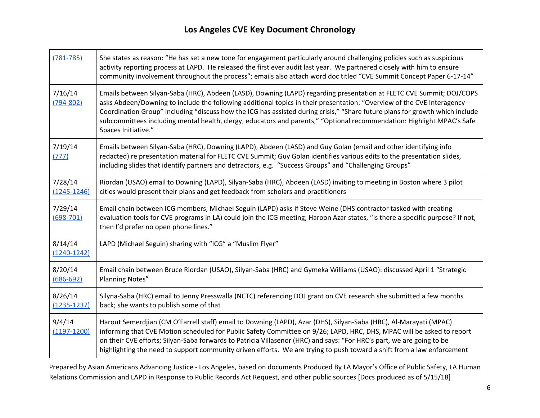┱

| $(781 - 785)$              | She states as reason: "He has set a new tone for engagement particularly around challenging policies such as suspicious<br>activity reporting process at LAPD. He released the first ever audit last year. We partnered closely with him to ensure<br>community involvement throughout the process"; emails also attach word doc titled "CVE Summit Concept Paper 6-17-14"                                                                                                                                                      |
|----------------------------|---------------------------------------------------------------------------------------------------------------------------------------------------------------------------------------------------------------------------------------------------------------------------------------------------------------------------------------------------------------------------------------------------------------------------------------------------------------------------------------------------------------------------------|
| 7/16/14<br>$(794 - 802)$   | Emails between Silyan-Saba (HRC), Abdeen (LASD), Downing (LAPD) regarding presentation at FLETC CVE Summit; DOJ/COPS<br>asks Abdeen/Downing to include the following additional topics in their presentation: "Overview of the CVE Interagency<br>Coordination Group" including "discuss how the ICG has assisted during crisis," "Share future plans for growth which include<br>subcommittees including mental health, clergy, educators and parents," "Optional recommendation: Highlight MPAC's Safe<br>Spaces Initiative." |
| 7/19/14<br>(777)           | Emails between Silyan-Saba (HRC), Downing (LAPD), Abdeen (LASD) and Guy Golan (email and other identifying info<br>redacted) re presentation material for FLETC CVE Summit; Guy Golan identifies various edits to the presentation slides,<br>including slides that identify partners and detractors, e.g. "Success Groups" and "Challenging Groups"                                                                                                                                                                            |
| 7/28/14<br>$(1245 - 1246)$ | Riordan (USAO) email to Downing (LAPD), Silyan-Saba (HRC), Abdeen (LASD) inviting to meeting in Boston where 3 pilot<br>cities would present their plans and get feedback from scholars and practitioners                                                                                                                                                                                                                                                                                                                       |
| 7/29/14<br>$(698 - 701)$   | Email chain between ICG members; Michael Seguin (LAPD) asks if Steve Weine (DHS contractor tasked with creating<br>evaluation tools for CVE programs in LA) could join the ICG meeting; Haroon Azar states, "Is there a specific purpose? If not,<br>then I'd prefer no open phone lines."                                                                                                                                                                                                                                      |
| 8/14/14<br>$(1240 - 1242)$ | LAPD (Michael Seguin) sharing with "ICG" a "Muslim Flyer"                                                                                                                                                                                                                                                                                                                                                                                                                                                                       |
| 8/20/14<br>$(686 - 692)$   | Email chain between Bruce Riordan (USAO), Silyan-Saba (HRC) and Gymeka Williams (USAO): discussed April 1 "Strategic<br><b>Planning Notes"</b>                                                                                                                                                                                                                                                                                                                                                                                  |
| 8/26/14<br>$(1235 - 1237)$ | Silyna-Saba (HRC) email to Jenny Presswalla (NCTC) referencing DOJ grant on CVE research she submitted a few months<br>back; she wants to publish some of that                                                                                                                                                                                                                                                                                                                                                                  |
| 9/4/14<br>$(1197 - 1200)$  | Harout Semerdjian (CM O'Farrell staff) email to Downing (LAPD), Azar (DHS), Silyan-Saba (HRC), Al-Marayati (MPAC)<br>informing that CVE Motion scheduled for Public Safety Committee on 9/26; LAPD, HRC, DHS, MPAC will be asked to report<br>on their CVE efforts; Silyan-Saba forwards to Patricia Villasenor (HRC) and says: "For HRC's part, we are going to be<br>highlighting the need to support community driven efforts. We are trying to push toward a shift from a law enforcement                                   |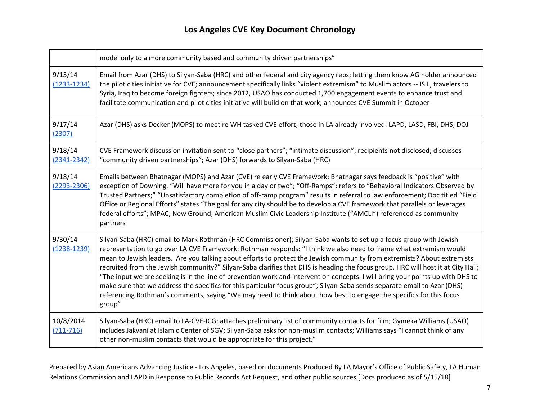|                            | model only to a more community based and community driven partnerships"                                                                                                                                                                                                                                                                                                                                                                                                                                                                                                                                                                                                                                                                                                                                                                                                                            |
|----------------------------|----------------------------------------------------------------------------------------------------------------------------------------------------------------------------------------------------------------------------------------------------------------------------------------------------------------------------------------------------------------------------------------------------------------------------------------------------------------------------------------------------------------------------------------------------------------------------------------------------------------------------------------------------------------------------------------------------------------------------------------------------------------------------------------------------------------------------------------------------------------------------------------------------|
| 9/15/14<br>$(1233 - 1234)$ | Email from Azar (DHS) to Silyan-Saba (HRC) and other federal and city agency reps; letting them know AG holder announced<br>the pilot cities initiative for CVE; announcement specifically links "violent extremism" to Muslim actors -- ISIL, travelers to<br>Syria, Iraq to become foreign fighters; since 2012, USAO has conducted 1,700 engagement events to enhance trust and<br>facilitate communication and pilot cities initiative will build on that work; announces CVE Summit in October                                                                                                                                                                                                                                                                                                                                                                                                |
| 9/17/14<br>(2307)          | Azar (DHS) asks Decker (MOPS) to meet re WH tasked CVE effort; those in LA already involved: LAPD, LASD, FBI, DHS, DOJ                                                                                                                                                                                                                                                                                                                                                                                                                                                                                                                                                                                                                                                                                                                                                                             |
| 9/18/14<br>$(2341 - 2342)$ | CVE Framework discussion invitation sent to "close partners"; "intimate discussion"; recipients not disclosed; discusses<br>"community driven partnerships"; Azar (DHS) forwards to Silyan-Saba (HRC)                                                                                                                                                                                                                                                                                                                                                                                                                                                                                                                                                                                                                                                                                              |
| 9/18/14<br>$(2293 - 2306)$ | Emails between Bhatnagar (MOPS) and Azar (CVE) re early CVE Framework; Bhatnagar says feedback is "positive" with<br>exception of Downing. "Will have more for you in a day or two"; "Off-Ramps": refers to "Behavioral Indicators Observed by<br>Trusted Partners;" "Unsatisfactory completion of off-ramp program" results in referral to law enforcement; Doc titled "Field<br>Office or Regional Efforts" states "The goal for any city should be to develop a CVE framework that parallels or leverages<br>federal efforts"; MPAC, New Ground, American Muslim Civic Leadership Institute ("AMCLI") referenced as community<br>partners                                                                                                                                                                                                                                                       |
| 9/30/14<br>$(1238 - 1239)$ | Silyan-Saba (HRC) email to Mark Rothman (HRC Commissioner); Silyan-Saba wants to set up a focus group with Jewish<br>representation to go over LA CVE Framework; Rothman responds: "I think we also need to frame what extremism would<br>mean to Jewish leaders. Are you talking about efforts to protect the Jewish community from extremists? About extremists<br>recruited from the Jewish community?" Silyan-Saba clarifies that DHS is heading the focus group, HRC will host it at City Hall;<br>"The input we are seeking is in the line of prevention work and intervention concepts. I will bring your points up with DHS to<br>make sure that we address the specifics for this particular focus group"; Silyan-Saba sends separate email to Azar (DHS)<br>referencing Rothman's comments, saying "We may need to think about how best to engage the specifics for this focus<br>group" |
| 10/8/2014<br>$(711 - 716)$ | Silyan-Saba (HRC) email to LA-CVE-ICG; attaches preliminary list of community contacts for film; Gymeka Williams (USAO)<br>includes Jakvani at Islamic Center of SGV; Silyan-Saba asks for non-muslim contacts; Williams says "I cannot think of any<br>other non-muslim contacts that would be appropriate for this project."                                                                                                                                                                                                                                                                                                                                                                                                                                                                                                                                                                     |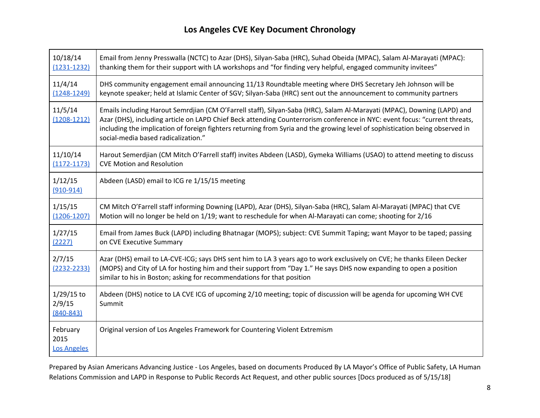| 10/18/14                                | Email from Jenny Presswalla (NCTC) to Azar (DHS), Silyan-Saba (HRC), Suhad Obeida (MPAC), Salam Al-Marayati (MPAC):                                                                                                                                                                                                                                                                                                          |
|-----------------------------------------|------------------------------------------------------------------------------------------------------------------------------------------------------------------------------------------------------------------------------------------------------------------------------------------------------------------------------------------------------------------------------------------------------------------------------|
| $(1231 - 1232)$                         | thanking them for their support with LA workshops and "for finding very helpful, engaged community invitees"                                                                                                                                                                                                                                                                                                                 |
| 11/4/14                                 | DHS community engagement email announcing 11/13 Roundtable meeting where DHS Secretary Jeh Johnson will be                                                                                                                                                                                                                                                                                                                   |
| $(1248 - 1249)$                         | keynote speaker; held at Islamic Center of SGV; Silyan-Saba (HRC) sent out the announcement to community partners                                                                                                                                                                                                                                                                                                            |
| 11/5/14<br>$(1208 - 1212)$              | Emails including Harout Semrdjian (CM O'Farrell staff), Silyan-Saba (HRC), Salam Al-Marayati (MPAC), Downing (LAPD) and<br>Azar (DHS), including article on LAPD Chief Beck attending Counterrorism conference in NYC: event focus: "current threats,<br>including the implication of foreign fighters returning from Syria and the growing level of sophistication being observed in<br>social-media based radicalization." |
| 11/10/14                                | Harout Semerdjian (CM Mitch O'Farrell staff) invites Abdeen (LASD), Gymeka Williams (USAO) to attend meeting to discuss                                                                                                                                                                                                                                                                                                      |
| $(1172 - 1173)$                         | <b>CVE Motion and Resolution</b>                                                                                                                                                                                                                                                                                                                                                                                             |
| 1/12/15<br>$(910-914)$                  | Abdeen (LASD) email to ICG re 1/15/15 meeting                                                                                                                                                                                                                                                                                                                                                                                |
| 1/15/15                                 | CM Mitch O'Farrell staff informing Downing (LAPD), Azar (DHS), Silyan-Saba (HRC), Salam Al-Marayati (MPAC) that CVE                                                                                                                                                                                                                                                                                                          |
| $(1206 - 1207)$                         | Motion will no longer be held on 1/19; want to reschedule for when Al-Marayati can come; shooting for 2/16                                                                                                                                                                                                                                                                                                                   |
| 1/27/15                                 | Email from James Buck (LAPD) including Bhatnagar (MOPS); subject: CVE Summit Taping; want Mayor to be taped; passing                                                                                                                                                                                                                                                                                                         |
| (2227)                                  | on CVE Executive Summary                                                                                                                                                                                                                                                                                                                                                                                                     |
| 2/7/15<br>$(2232 - 2233)$               | Azar (DHS) email to LA-CVE-ICG; says DHS sent him to LA 3 years ago to work exclusively on CVE; he thanks Eileen Decker<br>(MOPS) and City of LA for hosting him and their support from "Day 1." He says DHS now expanding to open a position<br>similar to his in Boston; asking for recommendations for that position                                                                                                      |
| $1/29/15$ to<br>2/9/15<br>$(840 - 843)$ | Abdeen (DHS) notice to LA CVE ICG of upcoming 2/10 meeting; topic of discussion will be agenda for upcoming WH CVE<br>Summit                                                                                                                                                                                                                                                                                                 |
| February<br>2015<br><b>Los Angeles</b>  | Original version of Los Angeles Framework for Countering Violent Extremism                                                                                                                                                                                                                                                                                                                                                   |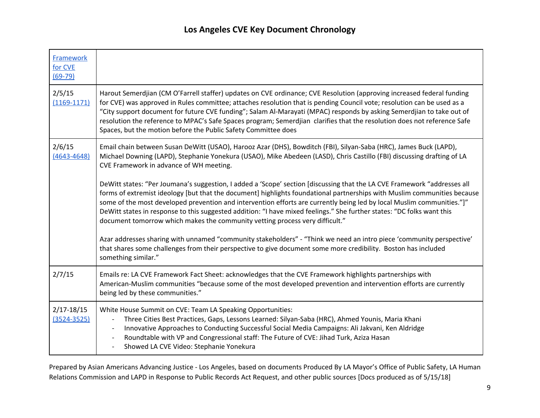| <b>Framework</b><br>for CVE<br>$(69-79)$ |                                                                                                                                                                                                                                                                                                                                                                                                                                                                                                                                                                                          |
|------------------------------------------|------------------------------------------------------------------------------------------------------------------------------------------------------------------------------------------------------------------------------------------------------------------------------------------------------------------------------------------------------------------------------------------------------------------------------------------------------------------------------------------------------------------------------------------------------------------------------------------|
| 2/5/15<br>$(1169 - 1171)$                | Harout Semerdjian (CM O'Farrell staffer) updates on CVE ordinance; CVE Resolution (approving increased federal funding<br>for CVE) was approved in Rules committee; attaches resolution that is pending Council vote; resolution can be used as a<br>"City support document for future CVE funding"; Salam Al-Marayati (MPAC) responds by asking Semerdjian to take out of<br>resolution the reference to MPAC's Safe Spaces program; Semerdjian clarifies that the resolution does not reference Safe<br>Spaces, but the motion before the Public Safety Committee does                 |
| 2/6/15<br>$(4643 - 4648)$                | Email chain between Susan DeWitt (USAO), Harooz Azar (DHS), Bowditch (FBI), Silyan-Saba (HRC), James Buck (LAPD),<br>Michael Downing (LAPD), Stephanie Yonekura (USAO), Mike Abedeen (LASD), Chris Castillo (FBI) discussing drafting of LA<br>CVE Framework in advance of WH meeting.                                                                                                                                                                                                                                                                                                   |
|                                          | DeWitt states: "Per Joumana's suggestion, I added a 'Scope' section [discussing that the LA CVE Framework "addresses all<br>forms of extremist ideology [but that the document] highlights foundational partnerships with Muslim communities because<br>some of the most developed prevention and intervention efforts are currently being led by local Muslim communities."]"<br>DeWitt states in response to this suggested addition: "I have mixed feelings." She further states: "DC folks want this<br>document tomorrow which makes the community vetting process very difficult." |
|                                          | Azar addresses sharing with unnamed "community stakeholders" - "Think we need an intro piece 'community perspective'<br>that shares some challenges from their perspective to give document some more credibility. Boston has included<br>something similar."                                                                                                                                                                                                                                                                                                                            |
| 2/7/15                                   | Emails re: LA CVE Framework Fact Sheet: acknowledges that the CVE Framework highlights partnerships with<br>American-Muslim communities "because some of the most developed prevention and intervention efforts are currently<br>being led by these communities."                                                                                                                                                                                                                                                                                                                        |
| $2/17 - 18/15$<br>$(3524 - 3525)$        | White House Summit on CVE: Team LA Speaking Opportunities:<br>Three Cities Best Practices, Gaps, Lessons Learned: Silyan-Saba (HRC), Ahmed Younis, Maria Khani<br>Innovative Approaches to Conducting Successful Social Media Campaigns: Ali Jakvani, Ken Aldridge<br>Roundtable with VP and Congressional staff: The Future of CVE: Jihad Turk, Aziza Hasan<br>Showed LA CVE Video: Stephanie Yonekura                                                                                                                                                                                  |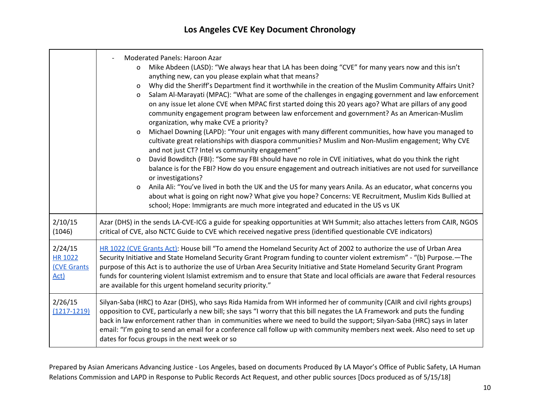|                                                         | <b>Moderated Panels: Haroon Azar</b><br>Mike Abdeen (LASD): "We always hear that LA has been doing "CVE" for many years now and this isn't<br>$\mathsf{o}$<br>anything new, can you please explain what that means?<br>Why did the Sheriff's Department find it worthwhile in the creation of the Muslim Community Affairs Unit?<br>0<br>Salam Al-Marayati (MPAC): "What are some of the challenges in engaging government and law enforcement<br>0<br>on any issue let alone CVE when MPAC first started doing this 20 years ago? What are pillars of any good<br>community engagement program between law enforcement and government? As an American-Muslim<br>organization, why make CVE a priority?<br>Michael Downing (LAPD): "Your unit engages with many different communities, how have you managed to<br>$\mathsf{o}$<br>cultivate great relationships with diaspora communities? Muslim and Non-Muslim engagement; Why CVE<br>and not just CT? Intel vs community engagement"<br>David Bowditch (FBI): "Some say FBI should have no role in CVE initiatives, what do you think the right<br>$\mathsf{o}$<br>balance is for the FBI? How do you ensure engagement and outreach initiatives are not used for surveillance<br>or investigations?<br>Anila Ali: "You've lived in both the UK and the US for many years Anila. As an educator, what concerns you<br>0<br>about what is going on right now? What give you hope? Concerns: VE Recruitment, Muslim Kids Bullied at<br>school; Hope: Immigrants are much more integrated and educated in the US vs UK |
|---------------------------------------------------------|------------------------------------------------------------------------------------------------------------------------------------------------------------------------------------------------------------------------------------------------------------------------------------------------------------------------------------------------------------------------------------------------------------------------------------------------------------------------------------------------------------------------------------------------------------------------------------------------------------------------------------------------------------------------------------------------------------------------------------------------------------------------------------------------------------------------------------------------------------------------------------------------------------------------------------------------------------------------------------------------------------------------------------------------------------------------------------------------------------------------------------------------------------------------------------------------------------------------------------------------------------------------------------------------------------------------------------------------------------------------------------------------------------------------------------------------------------------------------------------------------------------------------------------------------------------------|
| 2/10/15<br>(1046)                                       | Azar (DHS) in the sends LA-CVE-ICG a guide for speaking opportunities at WH Summit; also attaches letters from CAIR, NGOS<br>critical of CVE, also NCTC Guide to CVE which received negative press (identified questionable CVE indicators)                                                                                                                                                                                                                                                                                                                                                                                                                                                                                                                                                                                                                                                                                                                                                                                                                                                                                                                                                                                                                                                                                                                                                                                                                                                                                                                            |
| 2/24/15<br><b>HR 1022</b><br><b>(CVE Grants</b><br>Act) | HR 1022 (CVE Grants Act): House bill "To amend the Homeland Security Act of 2002 to authorize the use of Urban Area<br>Security Initiative and State Homeland Security Grant Program funding to counter violent extremism" - "(b) Purpose.—The<br>purpose of this Act is to authorize the use of Urban Area Security Initiative and State Homeland Security Grant Program<br>funds for countering violent Islamist extremism and to ensure that State and local officials are aware that Federal resources<br>are available for this urgent homeland security priority."                                                                                                                                                                                                                                                                                                                                                                                                                                                                                                                                                                                                                                                                                                                                                                                                                                                                                                                                                                                               |
| 2/26/15<br>$(1217 - 1219)$                              | Silyan-Saba (HRC) to Azar (DHS), who says Rida Hamida from WH informed her of community (CAIR and civil rights groups)<br>opposition to CVE, particularly a new bill; she says "I worry that this bill negates the LA Framework and puts the funding<br>back in law enforcement rather than in communities where we need to build the support; Silyan-Saba (HRC) says in later<br>email: "I'm going to send an email for a conference call follow up with community members next week. Also need to set up<br>dates for focus groups in the next week or so                                                                                                                                                                                                                                                                                                                                                                                                                                                                                                                                                                                                                                                                                                                                                                                                                                                                                                                                                                                                            |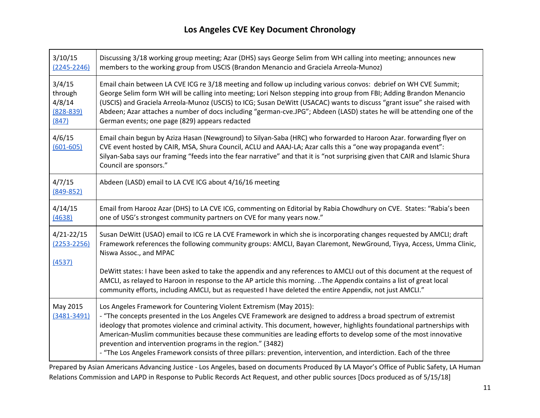| 3/10/15                     | Discussing 3/18 working group meeting; Azar (DHS) says George Selim from WH calling into meeting; announces new                                                                                                                                                                                                                                                                                                                                                                                                                                                                                                                |
|-----------------------------|--------------------------------------------------------------------------------------------------------------------------------------------------------------------------------------------------------------------------------------------------------------------------------------------------------------------------------------------------------------------------------------------------------------------------------------------------------------------------------------------------------------------------------------------------------------------------------------------------------------------------------|
| $(2245 - 2246)$             | members to the working group from USCIS (Brandon Menancio and Graciela Arreola-Munoz)                                                                                                                                                                                                                                                                                                                                                                                                                                                                                                                                          |
| 3/4/15                      | Email chain between LA CVE ICG re 3/18 meeting and follow up including various convos: debrief on WH CVE Summit;                                                                                                                                                                                                                                                                                                                                                                                                                                                                                                               |
| through                     | George Selim form WH will be calling into meeting; Lori Nelson stepping into group from FBI; Adding Brandon Menancio                                                                                                                                                                                                                                                                                                                                                                                                                                                                                                           |
| 4/8/14                      | (USCIS) and Graciela Arreola-Munoz (USCIS) to ICG; Susan DeWitt (USACAC) wants to discuss "grant issue" she raised with                                                                                                                                                                                                                                                                                                                                                                                                                                                                                                        |
| $(828 - 839)$               | Abdeen; Azar attaches a number of docs including "german-cve.JPG"; Abdeen (LASD) states he will be attending one of the                                                                                                                                                                                                                                                                                                                                                                                                                                                                                                        |
| (847)                       | German events; one page (829) appears redacted                                                                                                                                                                                                                                                                                                                                                                                                                                                                                                                                                                                 |
| 4/6/15<br>$(601 - 605)$     | Email chain begun by Aziza Hasan (Newground) to Silyan-Saba (HRC) who forwarded to Haroon Azar. forwarding flyer on<br>CVE event hosted by CAIR, MSA, Shura Council, ACLU and AAAJ-LA; Azar calls this a "one way propaganda event":<br>Silyan-Saba says our framing "feeds into the fear narrative" and that it is "not surprising given that CAIR and Islamic Shura<br>Council are sponsors."                                                                                                                                                                                                                                |
| 4/7/15<br>$(849 - 852)$     | Abdeen (LASD) email to LA CVE ICG about 4/16/16 meeting                                                                                                                                                                                                                                                                                                                                                                                                                                                                                                                                                                        |
| 4/14/15                     | Email from Harooz Azar (DHS) to LA CVE ICG, commenting on Editorial by Rabia Chowdhury on CVE. States: "Rabia's been                                                                                                                                                                                                                                                                                                                                                                                                                                                                                                           |
| (4638)                      | one of USG's strongest community partners on CVE for many years now."                                                                                                                                                                                                                                                                                                                                                                                                                                                                                                                                                          |
| $4/21 - 22/15$              | Susan DeWitt (USAO) email to ICG re LA CVE Framework in which she is incorporating changes requested by AMCLI; draft                                                                                                                                                                                                                                                                                                                                                                                                                                                                                                           |
| $(2253 - 2256)$             | Framework references the following community groups: AMCLI, Bayan Claremont, NewGround, Tiyya, Access, Umma Clinic,                                                                                                                                                                                                                                                                                                                                                                                                                                                                                                            |
| (4537)                      | Niswa Assoc., and MPAC                                                                                                                                                                                                                                                                                                                                                                                                                                                                                                                                                                                                         |
|                             | DeWitt states: I have been asked to take the appendix and any references to AMCLI out of this document at the request of<br>AMCLI, as relayed to Haroon in response to the AP article this morning. The Appendix contains a list of great local<br>community efforts, including AMCLI, but as requested I have deleted the entire Appendix, not just AMCLI."                                                                                                                                                                                                                                                                   |
| May 2015<br>$(3481 - 3491)$ | Los Angeles Framework for Countering Violent Extremism (May 2015):<br>- "The concepts presented in the Los Angeles CVE Framework are designed to address a broad spectrum of extremist<br>ideology that promotes violence and criminal activity. This document, however, highlights foundational partnerships with<br>American-Muslim communities because these communities are leading efforts to develop some of the most innovative<br>prevention and intervention programs in the region." (3482)<br>- "The Los Angeles Framework consists of three pillars: prevention, intervention, and interdiction. Each of the three |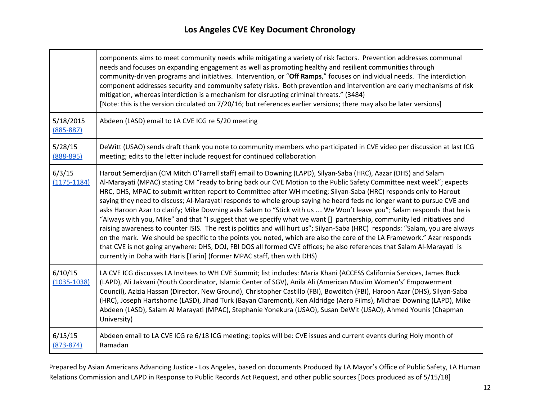T

┍

|                            | components aims to meet community needs while mitigating a variety of risk factors. Prevention addresses communal<br>needs and focuses on expanding engagement as well as promoting healthy and resilient communities through<br>community-driven programs and initiatives. Intervention, or "Off Ramps," focuses on individual needs. The interdiction<br>component addresses security and community safety risks. Both prevention and intervention are early mechanisms of risk<br>mitigation, whereas interdiction is a mechanism for disrupting criminal threats." (3484)<br>[Note: this is the version circulated on 7/20/16; but references earlier versions; there may also be later versions]                                                                                                                                                                                                                                                                                                                                                                                                                                                                                                     |
|----------------------------|-----------------------------------------------------------------------------------------------------------------------------------------------------------------------------------------------------------------------------------------------------------------------------------------------------------------------------------------------------------------------------------------------------------------------------------------------------------------------------------------------------------------------------------------------------------------------------------------------------------------------------------------------------------------------------------------------------------------------------------------------------------------------------------------------------------------------------------------------------------------------------------------------------------------------------------------------------------------------------------------------------------------------------------------------------------------------------------------------------------------------------------------------------------------------------------------------------------|
| 5/18/2015<br>$(885 - 887)$ | Abdeen (LASD) email to LA CVE ICG re 5/20 meeting                                                                                                                                                                                                                                                                                                                                                                                                                                                                                                                                                                                                                                                                                                                                                                                                                                                                                                                                                                                                                                                                                                                                                         |
| 5/28/15<br>$(888 - 895)$   | DeWitt (USAO) sends draft thank you note to community members who participated in CVE video per discussion at last ICG<br>meeting; edits to the letter include request for continued collaboration                                                                                                                                                                                                                                                                                                                                                                                                                                                                                                                                                                                                                                                                                                                                                                                                                                                                                                                                                                                                        |
| 6/3/15<br>$(1175 - 1184)$  | Harout Semerdjian (CM Mitch O'Farrell staff) email to Downing (LAPD), Silyan-Saba (HRC), Aazar (DHS) and Salam<br>Al-Marayati (MPAC) stating CM "ready to bring back our CVE Motion to the Public Safety Committee next week"; expects<br>HRC, DHS, MPAC to submit written report to Committee after WH meeting; Silyan-Saba (HRC) responds only to Harout<br>saying they need to discuss; Al-Marayati responds to whole group saying he heard feds no longer want to pursue CVE and<br>asks Haroon Azar to clarify; Mike Downing asks Salam to "Stick with us  We Won't leave you"; Salam responds that he is<br>"Always with you, Mike" and that "I suggest that we specify what we want [] partnership, community led initiatives and<br>raising awareness to counter ISIS. The rest is politics and will hurt us"; Silyan-Saba (HRC) responds: "Salam, you are always<br>on the mark. We should be specific to the points you noted, which are also the core of the LA Framework." Azar responds<br>that CVE is not going anywhere: DHS, DOJ, FBI DOS all formed CVE offices; he also references that Salam Al-Marayati is<br>currently in Doha with Haris [Tarin] (former MPAC staff, then with DHS) |
| 6/10/15<br>$(1035 - 1038)$ | LA CVE ICG discusses LA Invitees to WH CVE Summit; list includes: Maria Khani (ACCESS California Services, James Buck<br>(LAPD), Ali Jakvani (Youth Coordinator, Islamic Center of SGV), Anila Ali (American Muslim Women's' Empowerment<br>Council), Azizia Hassan (Director, New Ground), Christopher Castillo (FBI), Bowditch (FBI), Haroon Azar (DHS), Silyan-Saba<br>(HRC), Joseph Hartshorne (LASD), Jihad Turk (Bayan Claremont), Ken Aldridge (Aero Films), Michael Downing (LAPD), Mike<br>Abdeen (LASD), Salam Al Marayati (MPAC), Stephanie Yonekura (USAO), Susan DeWit (USAO), Ahmed Younis (Chapman<br>University)                                                                                                                                                                                                                                                                                                                                                                                                                                                                                                                                                                          |
| 6/15/15<br>$(873 - 874)$   | Abdeen email to LA CVE ICG re 6/18 ICG meeting; topics will be: CVE issues and current events during Holy month of<br>Ramadan                                                                                                                                                                                                                                                                                                                                                                                                                                                                                                                                                                                                                                                                                                                                                                                                                                                                                                                                                                                                                                                                             |

Prepared by Asian Americans Advancing Justice - Los Angeles, based on documents Produced By LA Mayor's Office of Public Safety, LA Human Relations Commission and LAPD in Response to Public Records Act Request, and other public sources [Docs produced as of 5/15/18]

┑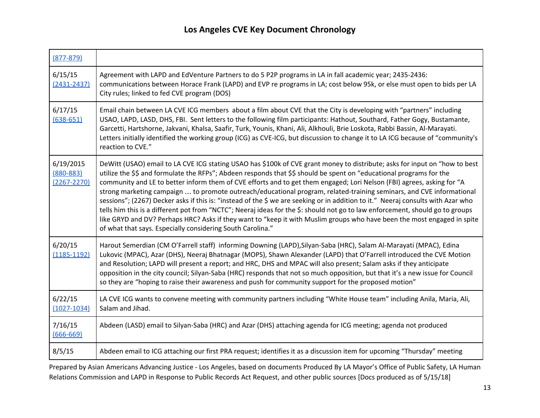| $(877 - 879)$                                 |                                                                                                                                                                                                                                                                                                                                                                                                                                                                                                                                                                                                                                                                                                                                                                                                                                                                                                                                                                    |
|-----------------------------------------------|--------------------------------------------------------------------------------------------------------------------------------------------------------------------------------------------------------------------------------------------------------------------------------------------------------------------------------------------------------------------------------------------------------------------------------------------------------------------------------------------------------------------------------------------------------------------------------------------------------------------------------------------------------------------------------------------------------------------------------------------------------------------------------------------------------------------------------------------------------------------------------------------------------------------------------------------------------------------|
| 6/15/15<br>$(2431 - 2437)$                    | Agreement with LAPD and EdVenture Partners to do 5 P2P programs in LA in fall academic year; 2435-2436:<br>communications between Horace Frank (LAPD) and EVP re programs in LA; cost below 95k, or else must open to bids per LA<br>City rules; linked to fed CVE program (DOS)                                                                                                                                                                                                                                                                                                                                                                                                                                                                                                                                                                                                                                                                                   |
| 6/17/15<br>$(638 - 651)$                      | Email chain between LA CVE ICG members about a film about CVE that the City is developing with "partners" including<br>USAO, LAPD, LASD, DHS, FBI. Sent letters to the following film participants: Hathout, Southard, Father Gogy, Bustamante,<br>Garcetti, Hartshorne, Jakvani, Khalsa, Saafir, Turk, Younis, Khani, Ali, Alkhouli, Brie Loskota, Rabbi Bassin, Al-Marayati.<br>Letters initially identified the working group (ICG) as CVE-ICG, but discussion to change it to LA ICG because of "community's<br>reaction to CVE."                                                                                                                                                                                                                                                                                                                                                                                                                              |
| 6/19/2015<br>$(880 - 883)$<br>$(2267 - 2270)$ | DeWitt (USAO) email to LA CVE ICG stating USAO has \$100k of CVE grant money to distribute; asks for input on "how to best<br>utilize the \$\$ and formulate the RFPs"; Abdeen responds that \$\$ should be spent on "educational programs for the<br>community and LE to better inform them of CVE efforts and to get them engaged; Lori Nelson (FBI) agrees, asking for "A<br>strong marketing campaign  to promote outreach/educational program, related-training seminars, and CVE informational<br>sessions"; (2267) Decker asks if this is: "instead of the \$ we are seeking or in addition to it." Neeraj consults with Azar who<br>tells him this is a different pot from "NCTC"; Neeraj ideas for the \$: should not go to law enforcement, should go to groups<br>like GRYD and DV? Perhaps HRC? Asks if they want to "keep it with Muslim groups who have been the most engaged in spite<br>of what that says. Especially considering South Carolina." |
| 6/20/15<br>$(1185 - 1192)$                    | Harout Semerdian (CM O'Farrell staff) informing Downing (LAPD), Silyan-Saba (HRC), Salam Al-Marayati (MPAC), Edina<br>Lukovic (MPAC), Azar (DHS), Neeraj Bhatnagar (MOPS), Shawn Alexander (LAPD) that O'Farrell introduced the CVE Motion<br>and Resolution; LAPD will present a report; and HRC, DHS and MPAC will also present; Salam asks if they anticipate<br>opposition in the city council; Silyan-Saba (HRC) responds that not so much opposition, but that it's a new issue for Council<br>so they are "hoping to raise their awareness and push for community support for the proposed motion"                                                                                                                                                                                                                                                                                                                                                          |
| 6/22/15<br>$(1027 - 1034)$                    | LA CVE ICG wants to convene meeting with community partners including "White House team" including Anila, Maria, Ali,<br>Salam and Jihad.                                                                                                                                                                                                                                                                                                                                                                                                                                                                                                                                                                                                                                                                                                                                                                                                                          |
| 7/16/15<br>$(666 - 669)$                      | Abdeen (LASD) email to Silyan-Saba (HRC) and Azar (DHS) attaching agenda for ICG meeting; agenda not produced                                                                                                                                                                                                                                                                                                                                                                                                                                                                                                                                                                                                                                                                                                                                                                                                                                                      |
| 8/5/15                                        | Abdeen email to ICG attaching our first PRA request; identifies it as a discussion item for upcoming "Thursday" meeting                                                                                                                                                                                                                                                                                                                                                                                                                                                                                                                                                                                                                                                                                                                                                                                                                                            |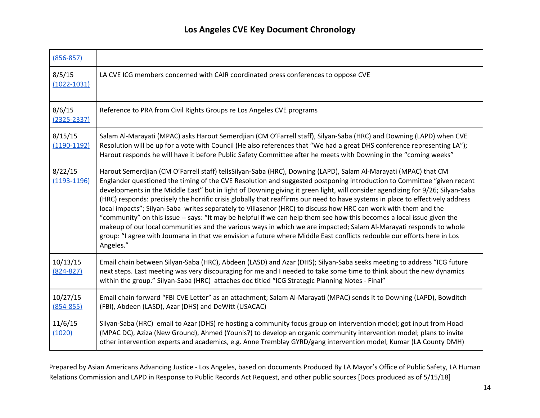| $(856 - 857)$              |                                                                                                                                                                                                                                                                                                                                                                                                                                                                                                                                                                                                                                                                                                                                                                                                                                                                                                                                                                                                                         |
|----------------------------|-------------------------------------------------------------------------------------------------------------------------------------------------------------------------------------------------------------------------------------------------------------------------------------------------------------------------------------------------------------------------------------------------------------------------------------------------------------------------------------------------------------------------------------------------------------------------------------------------------------------------------------------------------------------------------------------------------------------------------------------------------------------------------------------------------------------------------------------------------------------------------------------------------------------------------------------------------------------------------------------------------------------------|
| 8/5/15<br>$(1022 - 1031)$  | LA CVE ICG members concerned with CAIR coordinated press conferences to oppose CVE                                                                                                                                                                                                                                                                                                                                                                                                                                                                                                                                                                                                                                                                                                                                                                                                                                                                                                                                      |
| 8/6/15<br>$(2325 - 2337)$  | Reference to PRA from Civil Rights Groups re Los Angeles CVE programs                                                                                                                                                                                                                                                                                                                                                                                                                                                                                                                                                                                                                                                                                                                                                                                                                                                                                                                                                   |
| 8/15/15<br>$(1190-1192)$   | Salam Al-Marayati (MPAC) asks Harout Semerdjian (CM O'Farrell staff), Silyan-Saba (HRC) and Downing (LAPD) when CVE<br>Resolution will be up for a vote with Council (He also references that "We had a great DHS conference representing LA");<br>Harout responds he will have it before Public Safety Committee after he meets with Downing in the "coming weeks"                                                                                                                                                                                                                                                                                                                                                                                                                                                                                                                                                                                                                                                     |
| 8/22/15<br>$(1193 - 1196)$ | Harout Semerdjian (CM O'Farrell staff) tellsSilyan-Saba (HRC), Downing (LAPD), Salam Al-Marayati (MPAC) that CM<br>Englander questioned the timing of the CVE Resolution and suggested postponing introduction to Committee "given recent<br>developments in the Middle East" but in light of Downing giving it green light, will consider agendizing for 9/26; Silyan-Saba<br>(HRC) responds: precisely the horrific crisis globally that reaffirms our need to have systems in place to effectively address<br>local impacts"; Silyan-Saba writes separately to Villasenor (HRC) to discuss how HRC can work with them and the<br>"community" on this issue -- says: "It may be helpful if we can help them see how this becomes a local issue given the<br>makeup of our local communities and the various ways in which we are impacted; Salam Al-Marayati responds to whole<br>group: "I agree with Joumana in that we envision a future where Middle East conflicts redouble our efforts here in Los<br>Angeles." |
| 10/13/15<br>$(824 - 827)$  | Email chain between Silyan-Saba (HRC), Abdeen (LASD) and Azar (DHS); Silyan-Saba seeks meeting to address "ICG future<br>next steps. Last meeting was very discouraging for me and I needed to take some time to think about the new dynamics<br>within the group." Silyan-Saba (HRC) attaches doc titled "ICG Strategic Planning Notes - Final"                                                                                                                                                                                                                                                                                                                                                                                                                                                                                                                                                                                                                                                                        |
| 10/27/15<br>$(854 - 855)$  | Email chain forward "FBI CVE Letter" as an attachment; Salam Al-Marayati (MPAC) sends it to Downing (LAPD), Bowditch<br>(FBI), Abdeen (LASD), Azar (DHS) and DeWitt (USACAC)                                                                                                                                                                                                                                                                                                                                                                                                                                                                                                                                                                                                                                                                                                                                                                                                                                            |
| 11/6/15<br>(1020)          | Silyan-Saba (HRC) email to Azar (DHS) re hosting a community focus group on intervention model; got input from Hoad<br>(MPAC DC), Aziza (New Ground), Ahmed (Younis?) to develop an organic community intervention model; plans to invite<br>other intervention experts and academics, e.g. Anne Tremblay GYRD/gang intervention model, Kumar (LA County DMH)                                                                                                                                                                                                                                                                                                                                                                                                                                                                                                                                                                                                                                                           |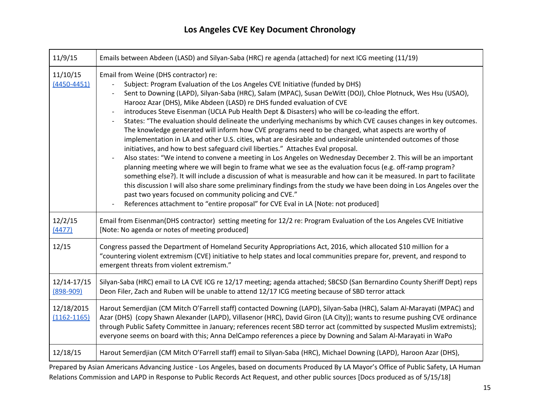| 11/9/15                       | Emails between Abdeen (LASD) and Silyan-Saba (HRC) re agenda (attached) for next ICG meeting (11/19)                                                                                                                                                                                                                                                                                                                                                                                                                                                                                                                                                                                                                                                                                                                                                                                                                                                                                                                                                                                                                                                                                                                                                                                                                                                                                                                                                                              |
|-------------------------------|-----------------------------------------------------------------------------------------------------------------------------------------------------------------------------------------------------------------------------------------------------------------------------------------------------------------------------------------------------------------------------------------------------------------------------------------------------------------------------------------------------------------------------------------------------------------------------------------------------------------------------------------------------------------------------------------------------------------------------------------------------------------------------------------------------------------------------------------------------------------------------------------------------------------------------------------------------------------------------------------------------------------------------------------------------------------------------------------------------------------------------------------------------------------------------------------------------------------------------------------------------------------------------------------------------------------------------------------------------------------------------------------------------------------------------------------------------------------------------------|
| 11/10/15<br>$(4450 - 4451)$   | Email from Weine (DHS contractor) re:<br>Subject: Program Evaluation of the Los Angeles CVE Initiative (funded by DHS)<br>Sent to Downing (LAPD), Silyan-Saba (HRC), Salam (MPAC), Susan DeWitt (DOJ), Chloe Plotnuck, Wes Hsu (USAO),<br>Harooz Azar (DHS), Mike Abdeen (LASD) re DHS funded evaluation of CVE<br>introduces Steve Eisenman (UCLA Pub Health Dept & Disasters) who will be co-leading the effort.<br>States: "The evaluation should delineate the underlying mechanisms by which CVE causes changes in key outcomes.<br>The knowledge generated will inform how CVE programs need to be changed, what aspects are worthy of<br>implementation in LA and other U.S. cities, what are desirable and undesirable unintended outcomes of those<br>initiatives, and how to best safeguard civil liberties." Attaches Eval proposal.<br>Also states: "We intend to convene a meeting in Los Angeles on Wednesday December 2. This will be an important<br>planning meeting where we will begin to frame what we see as the evaluation focus (e.g. off-ramp program?<br>something else?). It will include a discussion of what is measurable and how can it be measured. In part to facilitate<br>this discussion I will also share some preliminary findings from the study we have been doing in Los Angeles over the<br>past two years focused on community policing and CVE."<br>References attachment to "entire proposal" for CVE Eval in LA [Note: not produced] |
| 12/2/15<br>(4477)             | Email from Eisenman(DHS contractor) setting meeting for 12/2 re: Program Evaluation of the Los Angeles CVE Initiative<br>[Note: No agenda or notes of meeting produced]                                                                                                                                                                                                                                                                                                                                                                                                                                                                                                                                                                                                                                                                                                                                                                                                                                                                                                                                                                                                                                                                                                                                                                                                                                                                                                           |
| 12/15                         | Congress passed the Department of Homeland Security Appropriations Act, 2016, which allocated \$10 million for a<br>"countering violent extremism (CVE) initiative to help states and local communities prepare for, prevent, and respond to<br>emergent threats from violent extremism."                                                                                                                                                                                                                                                                                                                                                                                                                                                                                                                                                                                                                                                                                                                                                                                                                                                                                                                                                                                                                                                                                                                                                                                         |
| 12/14-17/15<br>$(898 - 909)$  | Silyan-Saba (HRC) email to LA CVE ICG re 12/17 meeting; agenda attached; SBCSD (San Bernardino County Sheriff Dept) reps<br>Deon Filer, Zach and Ruben will be unable to attend 12/17 ICG meeting because of SBD terror attack                                                                                                                                                                                                                                                                                                                                                                                                                                                                                                                                                                                                                                                                                                                                                                                                                                                                                                                                                                                                                                                                                                                                                                                                                                                    |
| 12/18/2015<br>$(1162 - 1165)$ | Harout Semerdjian (CM Mitch O'Farrell staff) contacted Downing (LAPD), Silyan-Saba (HRC), Salam Al-Marayati (MPAC) and<br>Azar (DHS) (copy Shawn Alexander (LAPD), Villasenor (HRC), David Giron (LA City)); wants to resume pushing CVE ordinance<br>through Public Safety Committee in January; references recent SBD terror act (committed by suspected Muslim extremists);<br>everyone seems on board with this; Anna DelCampo references a piece by Downing and Salam Al-Marayati in WaPo                                                                                                                                                                                                                                                                                                                                                                                                                                                                                                                                                                                                                                                                                                                                                                                                                                                                                                                                                                                    |
| 12/18/15                      | Harout Semerdjian (CM Mitch O'Farrell staff) email to Silyan-Saba (HRC), Michael Downing (LAPD), Haroon Azar (DHS),                                                                                                                                                                                                                                                                                                                                                                                                                                                                                                                                                                                                                                                                                                                                                                                                                                                                                                                                                                                                                                                                                                                                                                                                                                                                                                                                                               |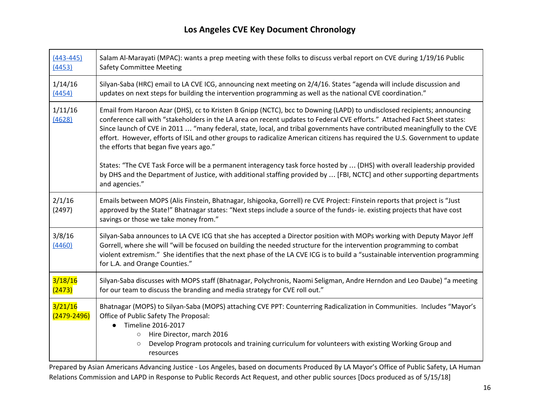| $(443 - 445)$<br>(4453) | Salam Al-Marayati (MPAC): wants a prep meeting with these folks to discuss verbal report on CVE during 1/19/16 Public<br><b>Safety Committee Meeting</b>                                                                                                                                                                                                                                                                                                                                                                                                    |
|-------------------------|-------------------------------------------------------------------------------------------------------------------------------------------------------------------------------------------------------------------------------------------------------------------------------------------------------------------------------------------------------------------------------------------------------------------------------------------------------------------------------------------------------------------------------------------------------------|
| 1/14/16<br>(4454)       | Silyan-Saba (HRC) email to LA CVE ICG, announcing next meeting on 2/4/16. States "agenda will include discussion and<br>updates on next steps for building the intervention programming as well as the national CVE coordination."                                                                                                                                                                                                                                                                                                                          |
| 1/11/16<br>(4628)       | Email from Haroon Azar (DHS), cc to Kristen B Gnipp (NCTC), bcc to Downing (LAPD) to undisclosed recipients; announcing<br>conference call with "stakeholders in the LA area on recent updates to Federal CVE efforts." Attached Fact Sheet states:<br>Since launch of CVE in 2011  "many federal, state, local, and tribal governments have contributed meaningfully to the CVE<br>effort. However, efforts of ISIL and other groups to radicalize American citizens has required the U.S. Government to update<br>the efforts that began five years ago." |
|                         | States: "The CVE Task Force will be a permanent interagency task force hosted by  (DHS) with overall leadership provided<br>by DHS and the Department of Justice, with additional staffing provided by  [FBI, NCTC] and other supporting departments<br>and agencies."                                                                                                                                                                                                                                                                                      |
| 2/1/16<br>(2497)        | Emails between MOPS (Alis Finstein, Bhatnagar, Ishigooka, Gorrell) re CVE Project: Finstein reports that project is "Just<br>approved by the State!" Bhatnagar states: "Next steps include a source of the funds- ie. existing projects that have cost<br>savings or those we take money from."                                                                                                                                                                                                                                                             |
| 3/8/16<br>(4460)        | Silyan-Saba announces to LA CVE ICG that she has accepted a Director position with MOPs working with Deputy Mayor Jeff<br>Gorrell, where she will "will be focused on building the needed structure for the intervention programming to combat<br>violent extremism." She identifies that the next phase of the LA CVE ICG is to build a "sustainable intervention programming<br>for L.A. and Orange Counties."                                                                                                                                            |
| 3/18/16<br>(2473)       | Silyan-Saba discusses with MOPS staff (Bhatnagar, Polychronis, Naomi Seligman, Andre Herndon and Leo Daube) "a meeting<br>for our team to discuss the branding and media strategy for CVE roll out."                                                                                                                                                                                                                                                                                                                                                        |
| 3/21/16<br>(2479-2496)  | Bhatnagar (MOPS) to Silyan-Saba (MOPS) attaching CVE PPT: Counterring Radicalization in Communities. Includes "Mayor's<br>Office of Public Safety The Proposal:<br>Timeline 2016-2017<br>Hire Director, march 2016<br>$\circlearrowright$<br>Develop Program protocols and training curriculum for volunteers with existing Working Group and<br>$\circ$<br>resources                                                                                                                                                                                       |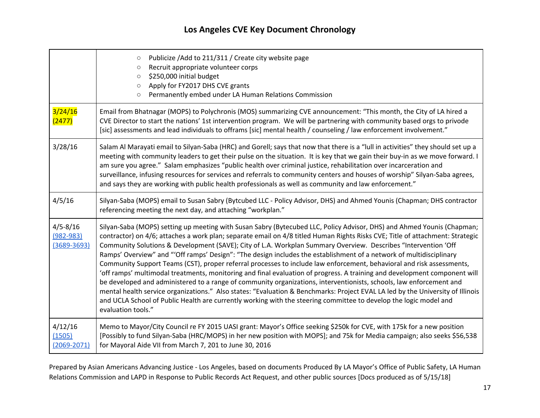|                                                  | Publicize / Add to 211/311 / Create city website page<br>$\circ$<br>Recruit appropriate volunteer corps<br>$\circ$<br>\$250,000 initial budget<br>$\circ$<br>Apply for FY2017 DHS CVE grants<br>$\circ$<br>Permanently embed under LA Human Relations Commission<br>$\circ$                                                                                                                                                                                                                                                                                                                                                                                                                                                                                                                                                                                                                                                                                                                                                                                                                                                                                |
|--------------------------------------------------|------------------------------------------------------------------------------------------------------------------------------------------------------------------------------------------------------------------------------------------------------------------------------------------------------------------------------------------------------------------------------------------------------------------------------------------------------------------------------------------------------------------------------------------------------------------------------------------------------------------------------------------------------------------------------------------------------------------------------------------------------------------------------------------------------------------------------------------------------------------------------------------------------------------------------------------------------------------------------------------------------------------------------------------------------------------------------------------------------------------------------------------------------------|
| 3/24/16<br>(2477)                                | Email from Bhatnagar (MOPS) to Polychronis (MOS) summarizing CVE announcement: "This month, the City of LA hired a<br>CVE Director to start the nations' 1st intervention program. We will be partnering with community based orgs to privode<br>[sic] assessments and lead individuals to offrams [sic] mental health / counseling / law enforcement involvement."                                                                                                                                                                                                                                                                                                                                                                                                                                                                                                                                                                                                                                                                                                                                                                                        |
| 3/28/16                                          | Salam Al Marayati email to Silyan-Saba (HRC) and Gorell; says that now that there is a "lull in activities" they should set up a<br>meeting with community leaders to get their pulse on the situation. It is key that we gain their buy-in as we move forward. I<br>am sure you agree." Salam emphasizes "public health over criminal justice, rehabilitation over incarceration and<br>surveillance, infusing resources for services and referrals to community centers and houses of worship" Silyan-Saba agrees,<br>and says they are working with public health professionals as well as community and law enforcement."                                                                                                                                                                                                                                                                                                                                                                                                                                                                                                                              |
| 4/5/16                                           | Silyan-Saba (MOPS) email to Susan Sabry (Bytcubed LLC - Policy Advisor, DHS) and Ahmed Younis (Chapman; DHS contractor<br>referencing meeting the next day, and attaching "workplan."                                                                                                                                                                                                                                                                                                                                                                                                                                                                                                                                                                                                                                                                                                                                                                                                                                                                                                                                                                      |
| $4/5 - 8/16$<br>$(982 - 983)$<br>$(3689 - 3693)$ | Silyan-Saba (MOPS) setting up meeting with Susan Sabry (Bytecubed LLC, Policy Advisor, DHS) and Ahmed Younis (Chapman;<br>contractor) on 4/6; attaches a work plan; separate email on 4/8 titled Human Rights Risks CVE; Title of attachment: Strategic<br>Community Solutions & Development (SAVE); City of L.A. Workplan Summary Overview. Describes "Intervention 'Off<br>Ramps' Overview" and "'Off ramps' Design": "The design includes the establishment of a network of multidisciplinary<br>Community Support Teams (CST), proper referral processes to include law enforcement, behavioral and risk assessments,<br>'off ramps' multimodal treatments, monitoring and final evaluation of progress. A training and development component will<br>be developed and administered to a range of community organizations, interventionists, schools, law enforcement and<br>mental health service organizations." Also states: "Evaluation & Benchmarks: Project EVAL LA led by the University of Illinois<br>and UCLA School of Public Health are currently working with the steering committee to develop the logic model and<br>evaluation tools." |
| 4/12/16<br>(1505)<br>$(2069 - 2071)$             | Memo to Mayor/City Council re FY 2015 UASI grant: Mayor's Office seeking \$250k for CVE, with 175k for a new position<br>[Possibly to fund Silyan-Saba (HRC/MOPS) in her new position with MOPS]; and 75k for Media campaign; also seeks \$56,538<br>for Mayoral Aide VII from March 7, 201 to June 30, 2016                                                                                                                                                                                                                                                                                                                                                                                                                                                                                                                                                                                                                                                                                                                                                                                                                                               |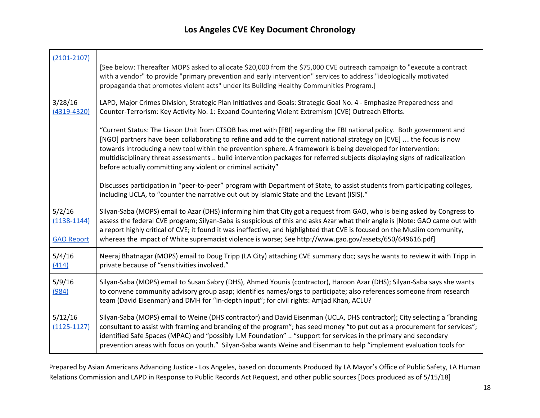г

| $(2101 - 2107)$                                | [See below: Thereafter MOPS asked to allocate \$20,000 from the \$75,000 CVE outreach campaign to "execute a contract<br>with a vendor" to provide "primary prevention and early intervention" services to address "ideologically motivated<br>propaganda that promotes violent acts" under its Building Healthy Communities Program.]                                                                                                                                                                                                                       |
|------------------------------------------------|--------------------------------------------------------------------------------------------------------------------------------------------------------------------------------------------------------------------------------------------------------------------------------------------------------------------------------------------------------------------------------------------------------------------------------------------------------------------------------------------------------------------------------------------------------------|
| 3/28/16<br>$(4319 - 4320)$                     | LAPD, Major Crimes Division, Strategic Plan Initiatives and Goals: Strategic Goal No. 4 - Emphasize Preparedness and<br>Counter-Terrorism: Key Activity No. 1: Expand Countering Violent Extremism (CVE) Outreach Efforts.                                                                                                                                                                                                                                                                                                                                   |
|                                                | "Current Status: The Liason Unit from CTSOB has met with [FBI] regarding the FBI national policy. Both government and<br>[NGO] partners have been collaborating to refine and add to the current national strategy on [CVE]  the focus is now<br>towards introducing a new tool within the prevention sphere. A framework is being developed for intervention:<br>multidisciplinary threat assessments  build intervention packages for referred subjects displaying signs of radicalization<br>before actually committing any violent or criminal activity" |
|                                                | Discusses participation in "peer-to-peer" program with Department of State, to assist students from participating colleges,<br>including UCLA, to "counter the narrative out out by Islamic State and the Levant (ISIS)."                                                                                                                                                                                                                                                                                                                                    |
| 5/2/16<br>$(1138 - 1144)$<br><b>GAO Report</b> | Silyan-Saba (MOPS) email to Azar (DHS) informing him that City got a request from GAO, who is being asked by Congress to<br>assess the federal CVE program; Silyan-Saba is suspicious of this and asks Azar what their angle is [Note: GAO came out with<br>a report highly critical of CVE; it found it was ineffective, and highlighted that CVE is focused on the Muslim community,<br>whereas the impact of White supremacist violence is worse; See http://www.gao.gov/assets/650/649616.pdf]                                                           |
| 5/4/16<br>(414)                                | Neeraj Bhatnagar (MOPS) email to Doug Tripp (LA City) attaching CVE summary doc; says he wants to review it with Tripp in<br>private because of "sensitivities involved."                                                                                                                                                                                                                                                                                                                                                                                    |
| 5/9/16<br>(984)                                | Silyan-Saba (MOPS) email to Susan Sabry (DHS), Ahmed Younis (contractor), Haroon Azar (DHS); Silyan-Saba says she wants<br>to convene community advisory group asap; identifies names/orgs to participate; also references someone from research<br>team (David Eisenman) and DMH for "in-depth input"; for civil rights: Amjad Khan, ACLU?                                                                                                                                                                                                                  |
| 5/12/16<br>$(1125 - 1127)$                     | Silyan-Saba (MOPS) email to Weine (DHS contractor) and David Eisenman (UCLA, DHS contractor); City selecting a "branding<br>consultant to assist with framing and branding of the program"; has seed money "to put out as a procurement for services";<br>identified Safe Spaces (MPAC) and "possibly ILM Foundation"  "support for services in the primary and secondary<br>prevention areas with focus on youth." Silyan-Saba wants Weine and Eisenman to help "implement evaluation tools for                                                             |

Prepared by Asian Americans Advancing Justice - Los Angeles, based on documents Produced By LA Mayor's Office of Public Safety, LA Human Relations Commission and LAPD in Response to Public Records Act Request, and other public sources [Docs produced as of 5/15/18]

┑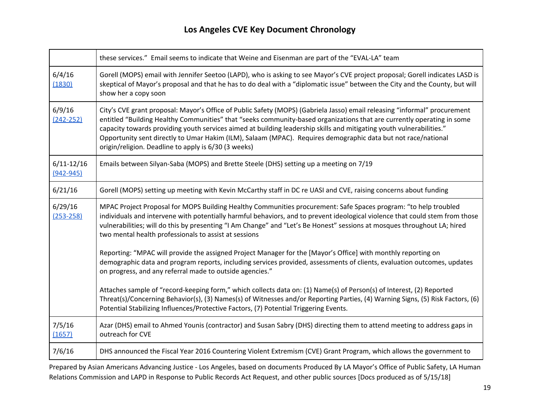|                                 | these services." Email seems to indicate that Weine and Eisenman are part of the "EVAL-LA" team                                                                                                                                                                                                                                                                                                                                                                                                                                                      |
|---------------------------------|------------------------------------------------------------------------------------------------------------------------------------------------------------------------------------------------------------------------------------------------------------------------------------------------------------------------------------------------------------------------------------------------------------------------------------------------------------------------------------------------------------------------------------------------------|
| 6/4/16<br>(1830)                | Gorell (MOPS) email with Jennifer Seetoo (LAPD), who is asking to see Mayor's CVE project proposal; Gorell indicates LASD is<br>skeptical of Mayor's proposal and that he has to do deal with a "diplomatic issue" between the City and the County, but will<br>show her a copy soon                                                                                                                                                                                                                                                                 |
| 6/9/16<br>$(242 - 252)$         | City's CVE grant proposal: Mayor's Office of Public Safety (MOPS) (Gabriela Jasso) email releasing "informal" procurement<br>entitled "Building Healthy Communities" that "seeks community-based organizations that are currently operating in some<br>capacity towards providing youth services aimed at building leadership skills and mitigating youth vulnerabilities."<br>Opportunity sent directly to Umar Hakim (ILM), Salaam (MPAC). Requires demographic data but not race/national<br>origin/religion. Deadline to apply is 6/30 (3 weeks) |
| $6/11 - 12/16$<br>$(942 - 945)$ | Emails between Silyan-Saba (MOPS) and Brette Steele (DHS) setting up a meeting on 7/19                                                                                                                                                                                                                                                                                                                                                                                                                                                               |
| 6/21/16                         | Gorell (MOPS) setting up meeting with Kevin McCarthy staff in DC re UASI and CVE, raising concerns about funding                                                                                                                                                                                                                                                                                                                                                                                                                                     |
| 6/29/16<br>$(253 - 258)$        | MPAC Project Proposal for MOPS Building Healthy Communities procurement: Safe Spaces program: "to help troubled<br>individuals and intervene with potentially harmful behaviors, and to prevent ideological violence that could stem from those<br>vulnerabilities; will do this by presenting "I Am Change" and "Let's Be Honest" sessions at mosques throughout LA; hired<br>two mental health professionals to assist at sessions                                                                                                                 |
|                                 | Reporting: "MPAC will provide the assigned Project Manager for the [Mayor's Office] with monthly reporting on<br>demographic data and program reports, including services provided, assessments of clients, evaluation outcomes, updates<br>on progress, and any referral made to outside agencies."                                                                                                                                                                                                                                                 |
|                                 | Attaches sample of "record-keeping form," which collects data on: (1) Name(s) of Person(s) of Interest, (2) Reported<br>Threat(s)/Concerning Behavior(s), (3) Names(s) of Witnesses and/or Reporting Parties, (4) Warning Signs, (5) Risk Factors, (6)<br>Potential Stabilizing Influences/Protective Factors, (7) Potential Triggering Events.                                                                                                                                                                                                      |
| 7/5/16<br>(1657)                | Azar (DHS) email to Ahmed Younis (contractor) and Susan Sabry (DHS) directing them to attend meeting to address gaps in<br>outreach for CVE                                                                                                                                                                                                                                                                                                                                                                                                          |
| 7/6/16                          | DHS announced the Fiscal Year 2016 Countering Violent Extremism (CVE) Grant Program, which allows the government to                                                                                                                                                                                                                                                                                                                                                                                                                                  |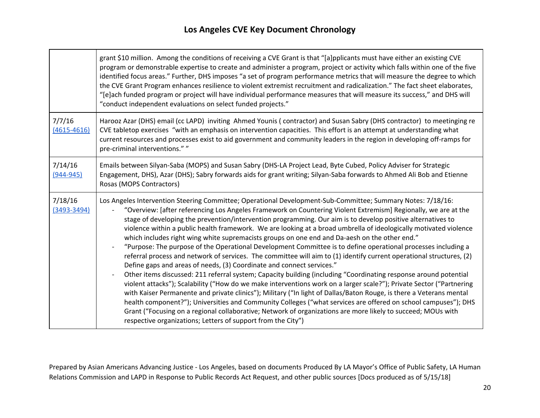$\top$ 

|                            | grant \$10 million. Among the conditions of receiving a CVE Grant is that "[a]pplicants must have either an existing CVE<br>program or demonstrable expertise to create and administer a program, project or activity which falls within one of the five<br>identified focus areas." Further, DHS imposes "a set of program performance metrics that will measure the degree to which<br>the CVE Grant Program enhances resilience to violent extremist recruitment and radicalization." The fact sheet elaborates,<br>"[e]ach funded program or project will have individual performance measures that will measure its success," and DHS will<br>"conduct independent evaluations on select funded projects."                                                                                                                                                                                                                                                                                                                                                                                                                                                                                                                                                                                                                                                                                                                                                                                                                                           |
|----------------------------|-----------------------------------------------------------------------------------------------------------------------------------------------------------------------------------------------------------------------------------------------------------------------------------------------------------------------------------------------------------------------------------------------------------------------------------------------------------------------------------------------------------------------------------------------------------------------------------------------------------------------------------------------------------------------------------------------------------------------------------------------------------------------------------------------------------------------------------------------------------------------------------------------------------------------------------------------------------------------------------------------------------------------------------------------------------------------------------------------------------------------------------------------------------------------------------------------------------------------------------------------------------------------------------------------------------------------------------------------------------------------------------------------------------------------------------------------------------------------------------------------------------------------------------------------------------|
| 7/7/16<br>$(4615 - 4616)$  | Harooz Azar (DHS) email (cc LAPD) inviting Ahmed Younis (contractor) and Susan Sabry (DHS contractor) to meetinging re<br>CVE tabletop exercises "with an emphasis on intervention capacities. This effort is an attempt at understanding what<br>current resources and processes exist to aid government and community leaders in the region in developing off-ramps for<br>pre-criminal interventions.""                                                                                                                                                                                                                                                                                                                                                                                                                                                                                                                                                                                                                                                                                                                                                                                                                                                                                                                                                                                                                                                                                                                                                |
| 7/14/16<br>$(944 - 945)$   | Emails between Silyan-Saba (MOPS) and Susan Sabry (DHS-LA Project Lead, Byte Cubed, Policy Adviser for Strategic<br>Engagement, DHS), Azar (DHS); Sabry forwards aids for grant writing; Silyan-Saba forwards to Ahmed Ali Bob and Etienne<br>Rosas (MOPS Contractors)                                                                                                                                                                                                                                                                                                                                                                                                                                                                                                                                                                                                                                                                                                                                                                                                                                                                                                                                                                                                                                                                                                                                                                                                                                                                                    |
| 7/18/16<br>$(3493 - 3494)$ | Los Angeles Intervention Steering Committee; Operational Development-Sub-Committee; Summary Notes: 7/18/16:<br>"Overview: [after referencing Los Angeles Framework on Countering Violent Extremism] Regionally, we are at the<br>stage of developing the prevention/intervention programming. Our aim is to develop positive alternatives to<br>violence within a public health framework. We are looking at a broad umbrella of ideologically motivated violence<br>which includes right wing white supremacists groups on one end and Da-aesh on the other end."<br>"Purpose: The purpose of the Operational Development Committee is to define operational processes including a<br>referral process and network of services. The committee will aim to (1) identify current operational structures, (2)<br>Define gaps and areas of needs, (3) Coordinate and connect services."<br>Other items discussed: 211 referral system; Capacity building (including "Coordinating response around potential<br>violent attacks"); Scalability ("How do we make interventions work on a larger scale?"); Private Sector ("Partnering<br>with Kaiser Permanente and private clinics"); Military ("In light of Dallas/Baton Rouge, is there a Veterans mental<br>health component?"); Universities and Community Colleges ("what services are offered on school campuses"); DHS<br>Grant ("Focusing on a regional collaborative; Network of organizations are more likely to succeed; MOUs with<br>respective organizations; Letters of support from the City") |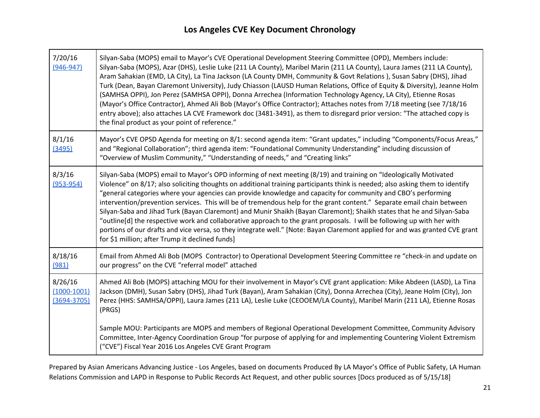| 7/20/16<br>$(946 - 947)$                    | Silyan-Saba (MOPS) email to Mayor's CVE Operational Development Steering Committee (OPD), Members include:<br>Silyan-Saba (MOPS), Azar (DHS), Leslie Luke (211 LA County), Maribel Marin (211 LA County), Laura James (211 LA County),<br>Aram Sahakian (EMD, LA City), La Tina Jackson (LA County DMH, Community & Govt Relations), Susan Sabry (DHS), Jihad<br>Turk (Dean, Bayan Claremont University), Judy Chiasson (LAUSD Human Relations, Office of Equity & Diversity), Jeanne Holm<br>(SAMHSA OPPI), Jon Perez (SAMHSA OPPI), Donna Arrechea (Information Technology Agency, LA City), Etienne Rosas<br>(Mayor's Office Contractor), Ahmed Ali Bob (Mayor's Office Contractor); Attaches notes from 7/18 meeting (see 7/18/16<br>entry above); also attaches LA CVE Framework doc (3481-3491), as them to disregard prior version: "The attached copy is<br>the final product as your point of reference."                    |
|---------------------------------------------|---------------------------------------------------------------------------------------------------------------------------------------------------------------------------------------------------------------------------------------------------------------------------------------------------------------------------------------------------------------------------------------------------------------------------------------------------------------------------------------------------------------------------------------------------------------------------------------------------------------------------------------------------------------------------------------------------------------------------------------------------------------------------------------------------------------------------------------------------------------------------------------------------------------------------------------|
| 8/1/16<br>(3495)                            | Mayor's CVE OPSD Agenda for meeting on 8/1: second agenda item: "Grant updates," including "Components/Focus Areas,"<br>and "Regional Collaboration"; third agenda item: "Foundational Community Understanding" including discussion of<br>"Overview of Muslim Community," "Understanding of needs," and "Creating links"                                                                                                                                                                                                                                                                                                                                                                                                                                                                                                                                                                                                             |
| 8/3/16<br>$(953 - 954)$                     | Silyan-Saba (MOPS) email to Mayor's OPD informing of next meeting (8/19) and training on "Ideologically Motivated<br>Violence" on 8/17; also soliciting thoughts on additional training participants think is needed; also asking them to identify<br>"general categories where your agencies can provide knowledge and capacity for community and CBO's performing<br>intervention/prevention services. This will be of tremendous help for the grant content." Separate email chain between<br>Silyan-Saba and Jihad Turk (Bayan Claremont) and Munir Shaikh (Bayan Claremont); Shaikh states that he and Silyan-Saba<br>"outline[d] the respective work and collaborative approach to the grant proposals. I will be following up with her with<br>portions of our drafts and vice versa, so they integrate well." [Note: Bayan Claremont applied for and was granted CVE grant<br>for \$1 million; after Trump it declined funds] |
| 8/18/16<br>(981)                            | Email from Ahmed Ali Bob (MOPS Contractor) to Operational Development Steering Committee re "check-in and update on<br>our progress" on the CVE "referral model" attached                                                                                                                                                                                                                                                                                                                                                                                                                                                                                                                                                                                                                                                                                                                                                             |
| 8/26/16<br>$(1000-1001)$<br>$(3694 - 3705)$ | Ahmed Ali Bob (MOPS) attaching MOU for their involvement in Mayor's CVE grant application: Mike Abdeen (LASD), La Tina<br>Jackson (DMH), Susan Sabry (DHS), Jihad Turk (Bayan), Aram Sahakian (City), Donna Arrechea (City), Jeane Holm (City), Jon<br>Perez (HHS: SAMHSA/OPPI), Laura James (211 LA), Leslie Luke (CEOOEM/LA County), Maribel Marin (211 LA), Etienne Rosas<br>(PRGS)                                                                                                                                                                                                                                                                                                                                                                                                                                                                                                                                                |
|                                             | Sample MOU: Participants are MOPS and members of Regional Operational Development Committee, Community Advisory<br>Committee, Inter-Agency Coordination Group "for purpose of applying for and implementing Countering Violent Extremism<br>("CVE") Fiscal Year 2016 Los Angeles CVE Grant Program                                                                                                                                                                                                                                                                                                                                                                                                                                                                                                                                                                                                                                    |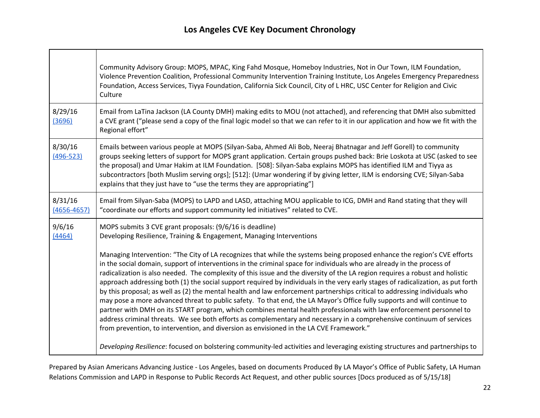|                            | Community Advisory Group: MOPS, MPAC, King Fahd Mosque, Homeboy Industries, Not in Our Town, ILM Foundation,<br>Violence Prevention Coalition, Professional Community Intervention Training Institute, Los Angeles Emergency Preparedness<br>Foundation, Access Services, Tiyya Foundation, California Sick Council, City of L HRC, USC Center for Religion and Civic<br>Culture                                                                                                                                                                                                                                                                                                                                                                                                                                                                                                                                                                                                                                                                                                                                             |
|----------------------------|------------------------------------------------------------------------------------------------------------------------------------------------------------------------------------------------------------------------------------------------------------------------------------------------------------------------------------------------------------------------------------------------------------------------------------------------------------------------------------------------------------------------------------------------------------------------------------------------------------------------------------------------------------------------------------------------------------------------------------------------------------------------------------------------------------------------------------------------------------------------------------------------------------------------------------------------------------------------------------------------------------------------------------------------------------------------------------------------------------------------------|
| 8/29/16<br>(3696)          | Email from LaTina Jackson (LA County DMH) making edits to MOU (not attached), and referencing that DMH also submitted<br>a CVE grant ("please send a copy of the final logic model so that we can refer to it in our application and how we fit with the<br>Regional effort"                                                                                                                                                                                                                                                                                                                                                                                                                                                                                                                                                                                                                                                                                                                                                                                                                                                 |
| 8/30/16<br>$(496 - 523)$   | Emails between various people at MOPS (Silyan-Saba, Ahmed Ali Bob, Neeraj Bhatnagar and Jeff Gorell) to community<br>groups seeking letters of support for MOPS grant application. Certain groups pushed back: Brie Loskota at USC (asked to see<br>the proposal) and Umar Hakim at ILM Foundation. [508]: Silyan-Saba explains MOPS has identified ILM and Tiyya as<br>subcontractors [both Muslim serving orgs]; [512]: (Umar wondering if by giving letter, ILM is endorsing CVE; Silyan-Saba<br>explains that they just have to "use the terms they are appropriating"]                                                                                                                                                                                                                                                                                                                                                                                                                                                                                                                                                  |
| 8/31/16<br>$(4656 - 4657)$ | Email from Silyan-Saba (MOPS) to LAPD and LASD, attaching MOU applicable to ICG, DMH and Rand stating that they will<br>"coordinate our efforts and support community led initiatives" related to CVE.                                                                                                                                                                                                                                                                                                                                                                                                                                                                                                                                                                                                                                                                                                                                                                                                                                                                                                                       |
| 9/6/16<br>(4464)           | MOPS submits 3 CVE grant proposals: (9/6/16 is deadline)<br>Developing Resilience, Training & Engagement, Managing Interventions                                                                                                                                                                                                                                                                                                                                                                                                                                                                                                                                                                                                                                                                                                                                                                                                                                                                                                                                                                                             |
|                            | Managing Intervention: "The City of LA recognizes that while the systems being proposed enhance the region's CVE efforts<br>in the social domain, support of interventions in the criminal space for individuals who are already in the process of<br>radicalization is also needed. The complexity of this issue and the diversity of the LA region requires a robust and holistic<br>approach addressing both (1) the social support required by individuals in the very early stages of radicalization, as put forth<br>by this proposal; as well as (2) the mental health and law enforcement partnerships critical to addressing individuals who<br>may pose a more advanced threat to public safety. To that end, the LA Mayor's Office fully supports and will continue to<br>partner with DMH on its START program, which combines mental health professionals with law enforcement personnel to<br>address criminal threats. We see both efforts as complementary and necessary in a comprehensive continuum of services<br>from prevention, to intervention, and diversion as envisioned in the LA CVE Framework." |
|                            | Developing Resilience: focused on bolstering community-led activities and leveraging existing structures and partnerships to                                                                                                                                                                                                                                                                                                                                                                                                                                                                                                                                                                                                                                                                                                                                                                                                                                                                                                                                                                                                 |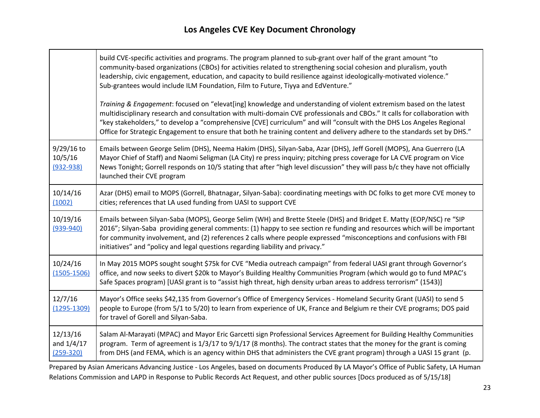┯

|                                           | build CVE-specific activities and programs. The program planned to sub-grant over half of the grant amount "to<br>community-based organizations (CBOs) for activities related to strengthening social cohesion and pluralism, youth<br>leadership, civic engagement, education, and capacity to build resilience against ideologically-motivated violence."<br>Sub-grantees would include ILM Foundation, Film to Future, Tiyya and EdVenture."                                                         |
|-------------------------------------------|---------------------------------------------------------------------------------------------------------------------------------------------------------------------------------------------------------------------------------------------------------------------------------------------------------------------------------------------------------------------------------------------------------------------------------------------------------------------------------------------------------|
|                                           | Training & Engagement: focused on "elevat[ing] knowledge and understanding of violent extremism based on the latest<br>multidisciplinary research and consultation with multi-domain CVE professionals and CBOs." It calls for collaboration with<br>"key stakeholders," to develop a "comprehensive [CVE] curriculum" and will "consult with the DHS Los Angeles Regional<br>Office for Strategic Engagement to ensure that both he training content and delivery adhere to the standards set by DHS." |
| $9/29/16$ to<br>10/5/16<br>$(932 - 938)$  | Emails between George Selim (DHS), Neema Hakim (DHS), Silyan-Saba, Azar (DHS), Jeff Gorell (MOPS), Ana Guerrero (LA<br>Mayor Chief of Staff) and Naomi Seligman (LA City) re press inquiry; pitching press coverage for LA CVE program on Vice<br>News Tonight; Gorrell responds on 10/5 stating that after "high level discussion" they will pass b/c they have not officially<br>launched their CVE program                                                                                           |
| 10/14/16<br>(1002)                        | Azar (DHS) email to MOPS (Gorrell, Bhatnagar, Silyan-Saba): coordinating meetings with DC folks to get more CVE money to<br>cities; references that LA used funding from UASI to support CVE                                                                                                                                                                                                                                                                                                            |
| 10/19/16<br>$(939 - 940)$                 | Emails between Silyan-Saba (MOPS), George Selim (WH) and Brette Steele (DHS) and Bridget E. Matty (EOP/NSC) re "SIP<br>2016"; Silyan-Saba providing general comments: (1) happy to see section re funding and resources which will be important<br>for community involvement, and (2) references 2 calls where people expressed "misconceptions and confusions with FBI<br>initiatives" and "policy and legal questions regarding liability and privacy."                                               |
| 10/24/16<br>$(1505 - 1506)$               | In May 2015 MOPS sought sought \$75k for CVE "Media outreach campaign" from federal UASI grant through Governor's<br>office, and now seeks to divert \$20k to Mayor's Building Healthy Communities Program (which would go to fund MPAC's<br>Safe Spaces program) [UASI grant is to "assist high threat, high density urban areas to address terrorism" (1543)]                                                                                                                                         |
| 12/7/16<br>$(1295 - 1309)$                | Mayor's Office seeks \$42,135 from Governor's Office of Emergency Services - Homeland Security Grant (UASI) to send 5<br>people to Europe (from 5/1 to 5/20) to learn from experience of UK, France and Belgium re their CVE programs; DOS paid<br>for travel of Gorell and Silyan-Saba.                                                                                                                                                                                                                |
| 12/13/16<br>and $1/4/17$<br>$(259 - 320)$ | Salam Al-Marayati (MPAC) and Mayor Eric Garcetti sign Professional Services Agreement for Building Healthy Communities<br>program. Term of agreement is 1/3/17 to 9/1/17 (8 months). The contract states that the money for the grant is coming<br>from DHS (and FEMA, which is an agency within DHS that administers the CVE grant program) through a UASI 15 grant (p.                                                                                                                                |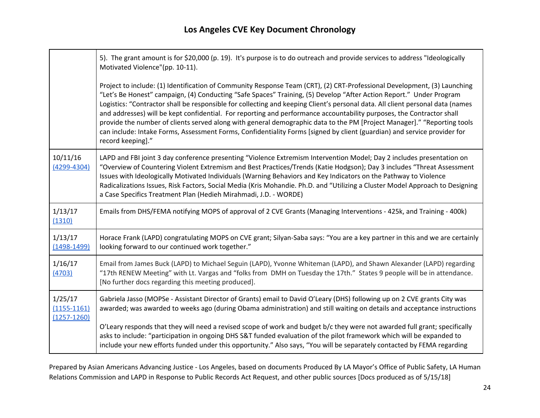┯

|                                               | 5). The grant amount is for \$20,000 (p. 19). It's purpose is to do outreach and provide services to address "Ideologically<br>Motivated Violence"(pp. 10-11).                                                                                                                                                                                                                                                                                                                                                                                                                                                                                                                                                                                                                         |
|-----------------------------------------------|----------------------------------------------------------------------------------------------------------------------------------------------------------------------------------------------------------------------------------------------------------------------------------------------------------------------------------------------------------------------------------------------------------------------------------------------------------------------------------------------------------------------------------------------------------------------------------------------------------------------------------------------------------------------------------------------------------------------------------------------------------------------------------------|
|                                               | Project to include: (1) Identification of Community Response Team (CRT), (2) CRT-Professional Development, (3) Launching<br>"Let's Be Honest" campaign, (4) Conducting "Safe Spaces" Training, (5) Develop "After Action Report." Under Program<br>Logistics: "Contractor shall be responsible for collecting and keeping Client's personal data. All client personal data (names<br>and addresses) will be kept confidential. For reporting and performance accountability purposes, the Contractor shall<br>provide the number of clients served along with general demographic data to the PM [Project Manager]." "Reporting tools<br>can include: Intake Forms, Assessment Forms, Confidentiality Forms [signed by client (guardian) and service provider for<br>record keeping]." |
| 10/11/16<br>$(4299 - 4304)$                   | LAPD and FBI joint 3 day conference presenting "Violence Extremism Intervention Model; Day 2 includes presentation on<br>"Overview of Countering Violent Extremism and Best Practices/Trends (Katie Hodgson); Day 3 includes "Threat Assessment<br>Issues with Ideologically Motivated Individuals (Warning Behaviors and Key Indicators on the Pathway to Violence<br>Radicalizations Issues, Risk Factors, Social Media (Kris Mohandie. Ph.D. and "Utilizing a Cluster Model Approach to Designing<br>a Case Specifics Treatment Plan (Hedieh Mirahmadi, J.D. - WORDE)                                                                                                                                                                                                               |
|                                               |                                                                                                                                                                                                                                                                                                                                                                                                                                                                                                                                                                                                                                                                                                                                                                                        |
| 1/13/17<br>(1310)                             | Emails from DHS/FEMA notifying MOPS of approval of 2 CVE Grants (Managing Interventions - 425k, and Training - 400k)                                                                                                                                                                                                                                                                                                                                                                                                                                                                                                                                                                                                                                                                   |
| 1/13/17<br>$(1498 - 1499)$                    | Horace Frank (LAPD) congratulating MOPS on CVE grant; Silyan-Saba says: "You are a key partner in this and we are certainly<br>looking forward to our continued work together."                                                                                                                                                                                                                                                                                                                                                                                                                                                                                                                                                                                                        |
| 1/16/17<br>(4703)                             | Email from James Buck (LAPD) to Michael Seguin (LAPD), Yvonne Whiteman (LAPD), and Shawn Alexander (LAPD) regarding<br>"17th RENEW Meeting" with Lt. Vargas and "folks from DMH on Tuesday the 17th." States 9 people will be in attendance.<br>[No further docs regarding this meeting produced].                                                                                                                                                                                                                                                                                                                                                                                                                                                                                     |
| 1/25/17<br>$(1155 - 1161)$<br>$(1257 - 1260)$ | Gabriela Jasso (MOPSe - Assistant Director of Grants) email to David O'Leary (DHS) following up on 2 CVE grants City was<br>awarded; was awarded to weeks ago (during Obama administration) and still waiting on details and acceptance instructions                                                                                                                                                                                                                                                                                                                                                                                                                                                                                                                                   |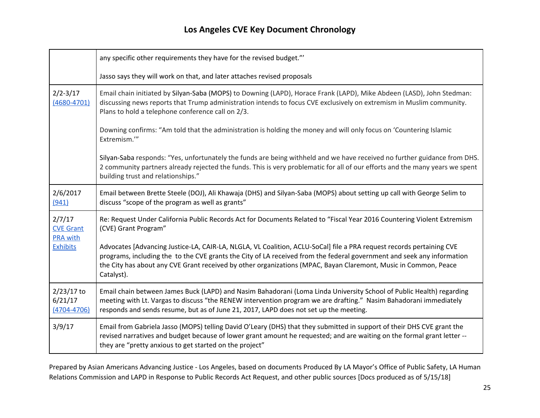|                                                                  | any specific other requirements they have for the revised budget."                                                                                                                                                                                                                                                                                                              |
|------------------------------------------------------------------|---------------------------------------------------------------------------------------------------------------------------------------------------------------------------------------------------------------------------------------------------------------------------------------------------------------------------------------------------------------------------------|
|                                                                  | Jasso says they will work on that, and later attaches revised proposals                                                                                                                                                                                                                                                                                                         |
| $2/2 - 3/17$<br>$(4680 - 4701)$                                  | Email chain initiated by Silyan-Saba (MOPS) to Downing (LAPD), Horace Frank (LAPD), Mike Abdeen (LASD), John Stedman:<br>discussing news reports that Trump administration intends to focus CVE exclusively on extremism in Muslim community.<br>Plans to hold a telephone conference call on 2/3.                                                                              |
|                                                                  | Downing confirms: "Am told that the administration is holding the money and will only focus on 'Countering Islamic<br>Extremism."                                                                                                                                                                                                                                               |
|                                                                  | Silyan-Saba responds: "Yes, unfortunately the funds are being withheld and we have received no further guidance from DHS.<br>2 community partners already rejected the funds. This is very problematic for all of our efforts and the many years we spent<br>building trust and relationships."                                                                                 |
| 2/6/2017<br>(941)                                                | Email between Brette Steele (DOJ), Ali Khawaja (DHS) and Silyan-Saba (MOPS) about setting up call with George Selim to<br>discuss "scope of the program as well as grants"                                                                                                                                                                                                      |
| 2/7/17<br><b>CVE Grant</b><br><b>PRA with</b><br><b>Exhibits</b> | Re: Request Under California Public Records Act for Documents Related to "Fiscal Year 2016 Countering Violent Extremism<br>(CVE) Grant Program"                                                                                                                                                                                                                                 |
|                                                                  | Advocates [Advancing Justice-LA, CAIR-LA, NLGLA, VL Coalition, ACLU-SoCal] file a PRA request records pertaining CVE<br>programs, including the to the CVE grants the City of LA received from the federal government and seek any information<br>the City has about any CVE Grant received by other organizations (MPAC, Bayan Claremont, Music in Common, Peace<br>Catalyst). |
| $2/23/17$ to<br>6/21/17<br>$(4704 - 4706)$                       | Email chain between James Buck (LAPD) and Nasim Bahadorani (Loma Linda University School of Public Health) regarding<br>meeting with Lt. Vargas to discuss "the RENEW intervention program we are drafting." Nasim Bahadorani immediately<br>responds and sends resume, but as of June 21, 2017, LAPD does not set up the meeting.                                              |
| 3/9/17                                                           | Email from Gabriela Jasso (MOPS) telling David O'Leary (DHS) that they submitted in support of their DHS CVE grant the<br>revised narratives and budget because of lower grant amount he requested; and are waiting on the formal grant letter --<br>they are "pretty anxious to get started on the project"                                                                    |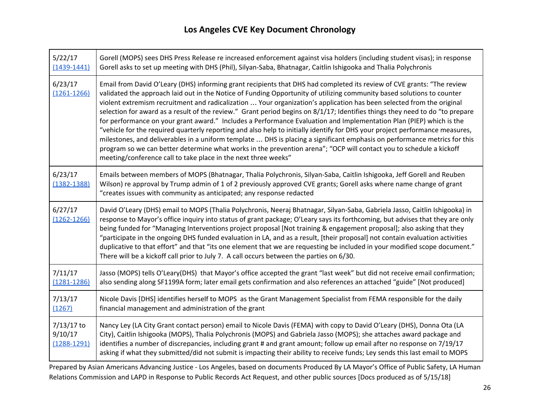| 5/22/17<br>$(1439 - 1441)$               | Gorell (MOPS) sees DHS Press Release re increased enforcement against visa holders (including student visas); in response<br>Gorell asks to set up meeting with DHS (Phil), Silyan-Saba, Bhatnagar, Caitlin Ishigooka and Thalia Polychronis                                                                                                                                                                                                                                                                                                                                                                                                                                                                                                                                                                                                                                                                                                                                                                                                                                           |
|------------------------------------------|----------------------------------------------------------------------------------------------------------------------------------------------------------------------------------------------------------------------------------------------------------------------------------------------------------------------------------------------------------------------------------------------------------------------------------------------------------------------------------------------------------------------------------------------------------------------------------------------------------------------------------------------------------------------------------------------------------------------------------------------------------------------------------------------------------------------------------------------------------------------------------------------------------------------------------------------------------------------------------------------------------------------------------------------------------------------------------------|
| 6/23/17<br>$(1261 - 1266)$               | Email from David O'Leary (DHS) informing grant recipients that DHS had completed its review of CVE grants: "The review<br>validated the approach laid out in the Notice of Funding Opportunity of utilizing community based solutions to counter<br>violent extremism recruitment and radicalization  Your organization's application has been selected from the original<br>selection for award as a result of the review." Grant period begins on 8/1/17; Identifies things they need to do "to prepare<br>for performance on your grant award." Includes a Performance Evaluation and Implementation Plan (PIEP) which is the<br>"vehicle for the required quarterly reporting and also help to initially identify for DHS your project performance measures,<br>milestones, and deliverables in a uniform template  DHS is placing a significant emphasis on performance metrics for this<br>program so we can better determine what works in the prevention arena"; "OCP will contact you to schedule a kickoff<br>meeting/conference call to take place in the next three weeks" |
| 6/23/17<br>$(1382 - 1388)$               | Emails between members of MOPS (Bhatnagar, Thalia Polychronis, Silyan-Saba, Caitlin Ishigooka, Jeff Gorell and Reuben<br>Wilson) re approval by Trump admin of 1 of 2 previously approved CVE grants; Gorell asks where name change of grant<br>"creates issues with community as anticipated; any response redacted                                                                                                                                                                                                                                                                                                                                                                                                                                                                                                                                                                                                                                                                                                                                                                   |
| 6/27/17<br>$(1262 - 1266)$               | David O'Leary (DHS) email to MOPS (Thalia Polychronis, Neeraj Bhatnagar, Silyan-Saba, Gabriela Jasso, Caitlin Ishigooka) in<br>response to Mayor's office inquiry into status of grant package; O'Leary says its forthcoming, but advises that they are only<br>being funded for "Managing Interventions project proposal [Not training & engagement proposal]; also asking that they<br>"participate in the ongoing DHS funded evaluation in LA, and as a result, [their proposal] not contain evaluation activities<br>duplicative to that effort" and that "its one element that we are requesting be included in your modified scope document."<br>There will be a kickoff call prior to July 7. A call occurs between the parties on 6/30.                                                                                                                                                                                                                                                                                                                                        |
| 7/11/17<br>$(1281 - 1286)$               | Jasso (MOPS) tells O'Leary(DHS) that Mayor's office accepted the grant "last week" but did not receive email confirmation;<br>also sending along SF1199A form; later email gets confirmation and also references an attached "guide" [Not produced]                                                                                                                                                                                                                                                                                                                                                                                                                                                                                                                                                                                                                                                                                                                                                                                                                                    |
| 7/13/17<br>(1267)                        | Nicole Davis [DHS] identifies herself to MOPS as the Grant Management Specialist from FEMA responsible for the daily<br>financial management and administration of the grant                                                                                                                                                                                                                                                                                                                                                                                                                                                                                                                                                                                                                                                                                                                                                                                                                                                                                                           |
| 7/13/17 to<br>9/10/17<br>$(1288 - 1291)$ | Nancy Ley (LA City Grant contact person) email to Nicole Davis (FEMA) with copy to David O'Leary (DHS), Donna Ota (LA<br>City), Caitlin Ishigooka (MOPS), Thalia Polychronis (MOPS) and Gabriela Jasso (MOPS); she attaches award package and<br>identifies a number of discrepancies, including grant # and grant amount; follow up email after no response on 7/19/17<br>asking if what they submitted/did not submit is impacting their ability to receive funds; Ley sends this last email to MOPS                                                                                                                                                                                                                                                                                                                                                                                                                                                                                                                                                                                 |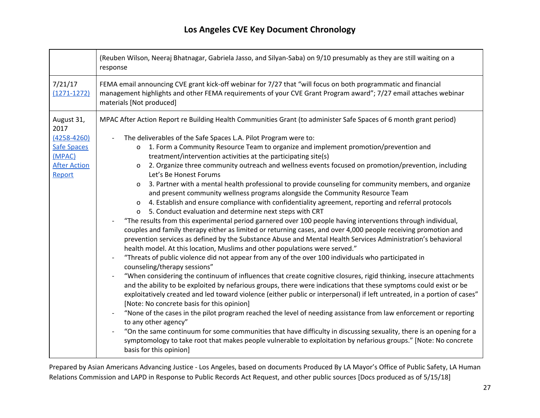|                                                                                                        | (Reuben Wilson, Neeraj Bhatnagar, Gabriela Jasso, and Silyan-Saba) on 9/10 presumably as they are still waiting on a<br>response                                                                                                                                                                                                                                                                                                                                                                                                                                                                                                                                                                                                                                                                                                                                                                                                                                                                                                                                                                                                                                           |
|--------------------------------------------------------------------------------------------------------|----------------------------------------------------------------------------------------------------------------------------------------------------------------------------------------------------------------------------------------------------------------------------------------------------------------------------------------------------------------------------------------------------------------------------------------------------------------------------------------------------------------------------------------------------------------------------------------------------------------------------------------------------------------------------------------------------------------------------------------------------------------------------------------------------------------------------------------------------------------------------------------------------------------------------------------------------------------------------------------------------------------------------------------------------------------------------------------------------------------------------------------------------------------------------|
| 7/21/17<br>$(1271 - 1272)$                                                                             | FEMA email announcing CVE grant kick-off webinar for 7/27 that "will focus on both programmatic and financial<br>management highlights and other FEMA requirements of your CVE Grant Program award"; 7/27 email attaches webinar<br>materials [Not produced]                                                                                                                                                                                                                                                                                                                                                                                                                                                                                                                                                                                                                                                                                                                                                                                                                                                                                                               |
| August 31,<br>2017<br>$(4258 - 4260)$<br><b>Safe Spaces</b><br>(MPAC)<br><b>After Action</b><br>Report | MPAC After Action Report re Building Health Communities Grant (to administer Safe Spaces of 6 month grant period)<br>The deliverables of the Safe Spaces L.A. Pilot Program were to:<br>1. Form a Community Resource Team to organize and implement promotion/prevention and<br>$\mathsf{o}$<br>treatment/intervention activities at the participating site(s)<br>2. Organize three community outreach and wellness events focused on promotion/prevention, including<br>0<br>Let's Be Honest Forums<br>3. Partner with a mental health professional to provide counseling for community members, and organize<br>0<br>and present community wellness programs alongside the Community Resource Team<br>4. Establish and ensure compliance with confidentiality agreement, reporting and referral protocols<br>O<br>5. Conduct evaluation and determine next steps with CRT<br>0<br>"The results from this experimental period garnered over 100 people having interventions through individual,<br>couples and family therapy either as limited or returning cases, and over 4,000 people receiving promotion and                                                         |
|                                                                                                        | prevention services as defined by the Substance Abuse and Mental Health Services Administration's behavioral<br>health model. At this location, Muslims and other populations were served."<br>"Threats of public violence did not appear from any of the over 100 individuals who participated in<br>counseling/therapy sessions"<br>"When considering the continuum of influences that create cognitive closures, rigid thinking, insecure attachments<br>and the ability to be exploited by nefarious groups, there were indications that these symptoms could exist or be<br>exploitatively created and led toward violence (either public or interpersonal) if left untreated, in a portion of cases"<br>[Note: No concrete basis for this opinion]<br>"None of the cases in the pilot program reached the level of needing assistance from law enforcement or reporting<br>to any other agency"<br>"On the same continuum for some communities that have difficulty in discussing sexuality, there is an opening for a<br>symptomology to take root that makes people vulnerable to exploitation by nefarious groups." [Note: No concrete<br>basis for this opinion] |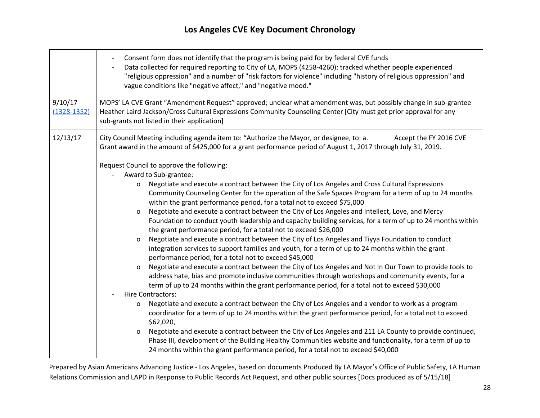|                            | Consent form does not identify that the program is being paid for by federal CVE funds<br>Data collected for required reporting to City of LA, MOPS (4258-4260): tracked whether people experienced<br>"religious oppression" and a number of "risk factors for violence" including "history of religious oppression" and<br>vague conditions like "negative affect," and "negative mood." |
|----------------------------|--------------------------------------------------------------------------------------------------------------------------------------------------------------------------------------------------------------------------------------------------------------------------------------------------------------------------------------------------------------------------------------------|
| 9/10/17<br>$(1328 - 1352)$ | MOPS' LA CVE Grant "Amendment Request" approved; unclear what amendment was, but possibly change in sub-grantee<br>Heather Laird Jackson/Cross Cultural Expressions Community Counseling Center [City must get prior approval for any<br>sub-grants not listed in their application]                                                                                                       |
| 12/13/17                   | City Council Meeting including agenda item to: "Authorize the Mayor, or designee, to: a.<br>Accept the FY 2016 CVE<br>Grant award in the amount of \$425,000 for a grant performance period of August 1, 2017 through July 31, 2019.                                                                                                                                                       |
|                            | Request Council to approve the following:                                                                                                                                                                                                                                                                                                                                                  |
|                            | Award to Sub-grantee:                                                                                                                                                                                                                                                                                                                                                                      |
|                            | Negotiate and execute a contract between the City of Los Angeles and Cross Cultural Expressions<br>$\mathsf{o}$                                                                                                                                                                                                                                                                            |
|                            | Community Counseling Center for the operation of the Safe Spaces Program for a term of up to 24 months                                                                                                                                                                                                                                                                                     |
|                            | within the grant performance period, for a total not to exceed \$75,000                                                                                                                                                                                                                                                                                                                    |
|                            | Negotiate and execute a contract between the City of Los Angeles and Intellect, Love, and Mercy<br>$\mathbf o$                                                                                                                                                                                                                                                                             |
|                            | Foundation to conduct youth leadership and capacity building services, for a term of up to 24 months within<br>the grant performance period, for a total not to exceed \$26,000                                                                                                                                                                                                            |
|                            | Negotiate and execute a contract between the City of Los Angeles and Tiyya Foundation to conduct<br>$\mathbf{o}$                                                                                                                                                                                                                                                                           |
|                            | integration services to support families and youth, for a term of up to 24 months within the grant                                                                                                                                                                                                                                                                                         |
|                            | performance period, for a total not to exceed \$45,000                                                                                                                                                                                                                                                                                                                                     |
|                            | Negotiate and execute a contract between the City of Los Angeles and Not In Our Town to provide tools to<br>o                                                                                                                                                                                                                                                                              |
|                            | address hate, bias and promote inclusive communities through workshops and community events, for a                                                                                                                                                                                                                                                                                         |
|                            | term of up to 24 months within the grant performance period, for a total not to exceed \$30,000                                                                                                                                                                                                                                                                                            |
|                            | <b>Hire Contractors:</b>                                                                                                                                                                                                                                                                                                                                                                   |
|                            | Negotiate and execute a contract between the City of Los Angeles and a vendor to work as a program<br>o<br>coordinator for a term of up to 24 months within the grant performance period, for a total not to exceed                                                                                                                                                                        |
|                            | \$62,020,                                                                                                                                                                                                                                                                                                                                                                                  |
|                            | Negotiate and execute a contract between the City of Los Angeles and 211 LA County to provide continued,<br>o<br>Phase III, development of the Building Healthy Communities website and functionality, for a term of up to<br>24 months within the grant performance period, for a total not to exceed \$40,000                                                                            |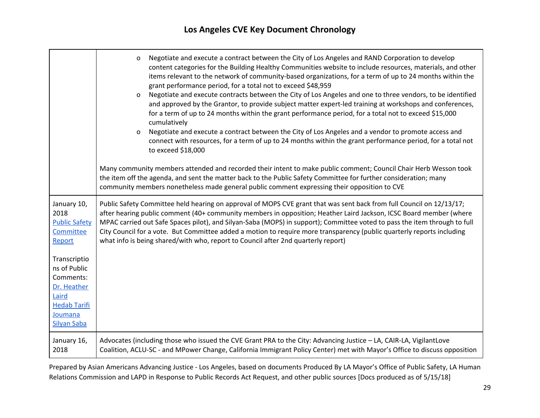|                                                                                                                                                                                                 | Negotiate and execute a contract between the City of Los Angeles and RAND Corporation to develop<br>$\mathsf{o}$<br>content categories for the Building Healthy Communities website to include resources, materials, and other<br>items relevant to the network of community-based organizations, for a term of up to 24 months within the<br>grant performance period, for a total not to exceed \$48,959<br>Negotiate and execute contracts between the City of Los Angeles and one to three vendors, to be identified<br>0<br>and approved by the Grantor, to provide subject matter expert-led training at workshops and conferences,<br>for a term of up to 24 months within the grant performance period, for a total not to exceed \$15,000<br>cumulatively<br>Negotiate and execute a contract between the City of Los Angeles and a vendor to promote access and<br>0<br>connect with resources, for a term of up to 24 months within the grant performance period, for a total not<br>to exceed \$18,000<br>Many community members attended and recorded their intent to make public comment; Council Chair Herb Wesson took<br>the item off the agenda, and sent the matter back to the Public Safety Committee for further consideration; many<br>community members nonetheless made general public comment expressing their opposition to CVE |
|-------------------------------------------------------------------------------------------------------------------------------------------------------------------------------------------------|------------------------------------------------------------------------------------------------------------------------------------------------------------------------------------------------------------------------------------------------------------------------------------------------------------------------------------------------------------------------------------------------------------------------------------------------------------------------------------------------------------------------------------------------------------------------------------------------------------------------------------------------------------------------------------------------------------------------------------------------------------------------------------------------------------------------------------------------------------------------------------------------------------------------------------------------------------------------------------------------------------------------------------------------------------------------------------------------------------------------------------------------------------------------------------------------------------------------------------------------------------------------------------------------------------------------------------------------------------|
| January 10,<br>2018<br><b>Public Safety</b><br>Committee<br>Report<br>Transcriptio<br>ns of Public<br>Comments:<br>Dr. Heather<br>Laird<br><b>Hedab Tarifi</b><br>Joumana<br><b>Silyan Saba</b> | Public Safety Committee held hearing on approval of MOPS CVE grant that was sent back from full Council on 12/13/17;<br>after hearing public comment (40+ community members in opposition; Heather Laird Jackson, ICSC Board member (where<br>MPAC carried out Safe Spaces pilot), and Silyan-Saba (MOPS) in support); Committee voted to pass the item through to full<br>City Council for a vote. But Committee added a motion to require more transparency (public quarterly reports including<br>what info is being shared/with who, report to Council after 2nd quarterly report)                                                                                                                                                                                                                                                                                                                                                                                                                                                                                                                                                                                                                                                                                                                                                                     |
| January 16,<br>2018                                                                                                                                                                             | Advocates (including those who issued the CVE Grant PRA to the City: Advancing Justice - LA, CAIR-LA, VigilantLove<br>Coalition, ACLU-SC - and MPower Change, California Immigrant Policy Center) met with Mayor's Office to discuss opposition                                                                                                                                                                                                                                                                                                                                                                                                                                                                                                                                                                                                                                                                                                                                                                                                                                                                                                                                                                                                                                                                                                            |